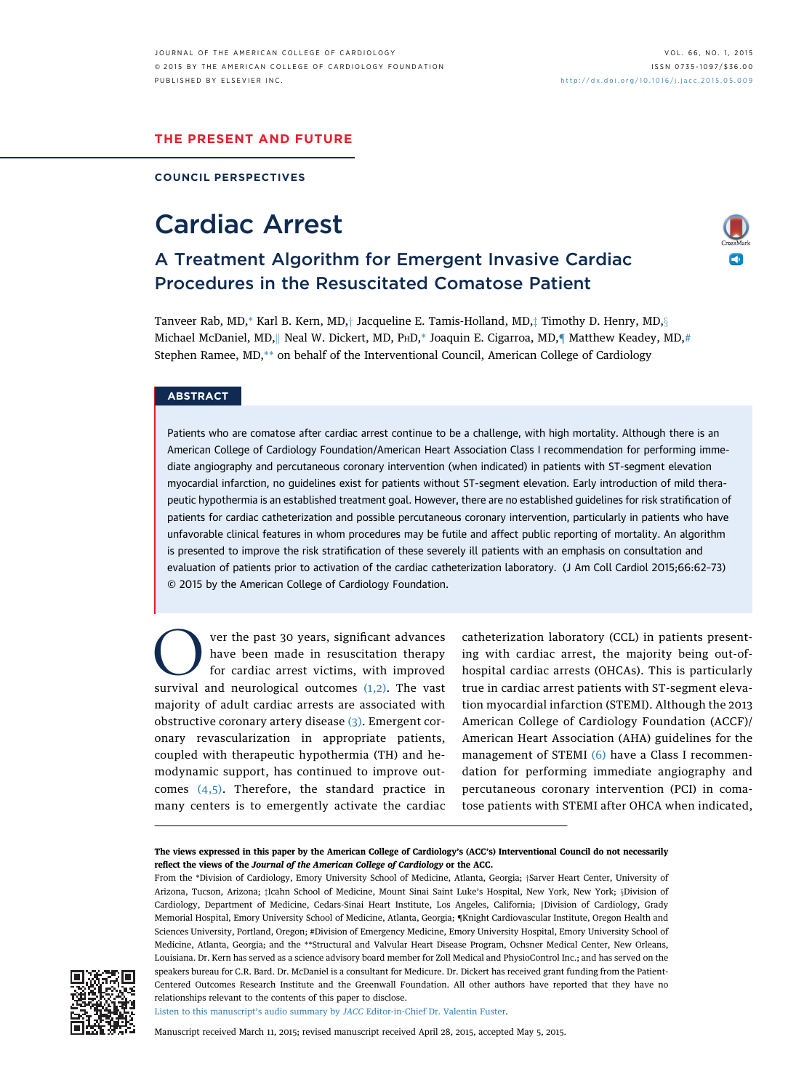#### THE PRESENT AND FUTURE

COUNCIL PERSPECTIVES

# Cardiac Arrest

## A Treatment Algorithm for Emergent Invasive Cardiac Procedures in the Resuscitated Comatose Patient

Tanveer Rab, MD,\* Karl B. Kern, MD, $\dagger$  Jacqueline E. Tamis-Holland, MD, $\dagger$  Timothy D. Henry, MD, $\S$ Michael McDaniel, MD, || Neal W. Dickert, MD, PHD,\* Joaquin E. Cigarroa, MD,¶ Matthew Keadey, MD,# Stephen Ramee, MD,\*\* on behalf of the Interventional Council, American College of Cardiology

#### **ABSTRACT**

Patients who are comatose after cardiac arrest continue to be a challenge, with high mortality. Although there is an American College of Cardiology Foundation/American Heart Association Class I recommendation for performing immediate angiography and percutaneous coronary intervention (when indicated) in patients with ST-segment elevation myocardial infarction, no guidelines exist for patients without ST-segment elevation. Early introduction of mild therapeutic hypothermia is an established treatment goal. However, there are no established guidelines for risk stratification of patients for cardiac catheterization and possible percutaneous coronary intervention, particularly in patients who have unfavorable clinical features in whom procedures may be futile and affect public reporting of mortality. An algorithm is presented to improve the risk stratification of these severely ill patients with an emphasis on consultation and evaluation of patients prior to activation of the cardiac catheterization laboratory. (J Am Coll Cardiol 2015;66:62–73) © 2015 by the American College of Cardiology Foundation.

Over the past 30 years, significant advances<br>have been made in resuscitation therapy<br>for cardiac arrest victims, with improved<br>survival and neurological outcomes [\(1,2\)](#page-9-0). The vast have been made in resuscitation therapy for cardiac arrest victims, with improved majority of adult cardiac arrests are associated with obstructive coronary artery disease [\(3\).](#page-9-0) Emergent coronary revascularization in appropriate patients, coupled with therapeutic hypothermia (TH) and hemodynamic support, has continued to improve outcomes [\(4,5\).](#page-9-0) Therefore, the standard practice in many centers is to emergently activate the cardiac

catheterization laboratory (CCL) in patients presenting with cardiac arrest, the majority being out-ofhospital cardiac arrests (OHCAs). This is particularly true in cardiac arrest patients with ST-segment elevation myocardial infarction (STEMI). Although the 2013 American College of Cardiology Foundation (ACCF)/ American Heart Association (AHA) guidelines for the management of STEMI [\(6\)](#page-9-0) have a Class I recommendation for performing immediate angiography and percutaneous coronary intervention (PCI) in comatose patients with STEMI after OHCA when indicated,

From the \*Division of Cardiolog[y](#page-9-0), Emory University School of Medicine, Atlanta, Georgia; †Sarver Heart Center, University of Ari[z](#page-9-0)ona, Tucson, Arizona; iIcahn School of Medicine, Mount Sinai Saint Luke's Hospital, New York, New York; &Division of Cardiology, Department of Medicine, Cedars-Sinai Heart Institute, Los Angeles, California; ||Division of Cardiology, Grady Memorial Hospital, Emory University School of Medicine, Atlanta, Georgia; [{](#page-9-0)Knight Cardiovascular Institute, Oregon Health and Sciences University, Portland, Oregon; #Division of Emergency Medicine, Emory University Hospital, Emory University School of Medicine, Atlanta, Georgia; and the \*\*Structural and Valvular Heart Disease Program, Ochsner Medical Center, New Orleans, Louisiana. Dr. Kern has served as a science advisory board member for Zoll Medical and PhysioControl Inc.; and has served on the speakers bureau for C.R. Bard. Dr. McDaniel is a consultant for Medicure. Dr. Dickert has received grant funding from the Patient-Centered Outcomes Research Institute and the Greenwall Foundation. All other authors have reported that they have no relationships relevant to the contents of this paper to disclose.



Listen to this manuscript's audio summary by JACC [Editor-in-Chief Dr. Valentin Fuster.](https://s3.amazonaws.com/ADFJACC/JACC6601/JACC6601_fustersummary_07)

Manuscript received March 11, 2015; revised manuscript received April 28, 2015, accepted May 5, 2015.

The views expressed in this paper by the American College of Cardiology's (ACC's) Interventional Council do not necessarily reflect the views of the Journal of the American College of Cardiology or the ACC.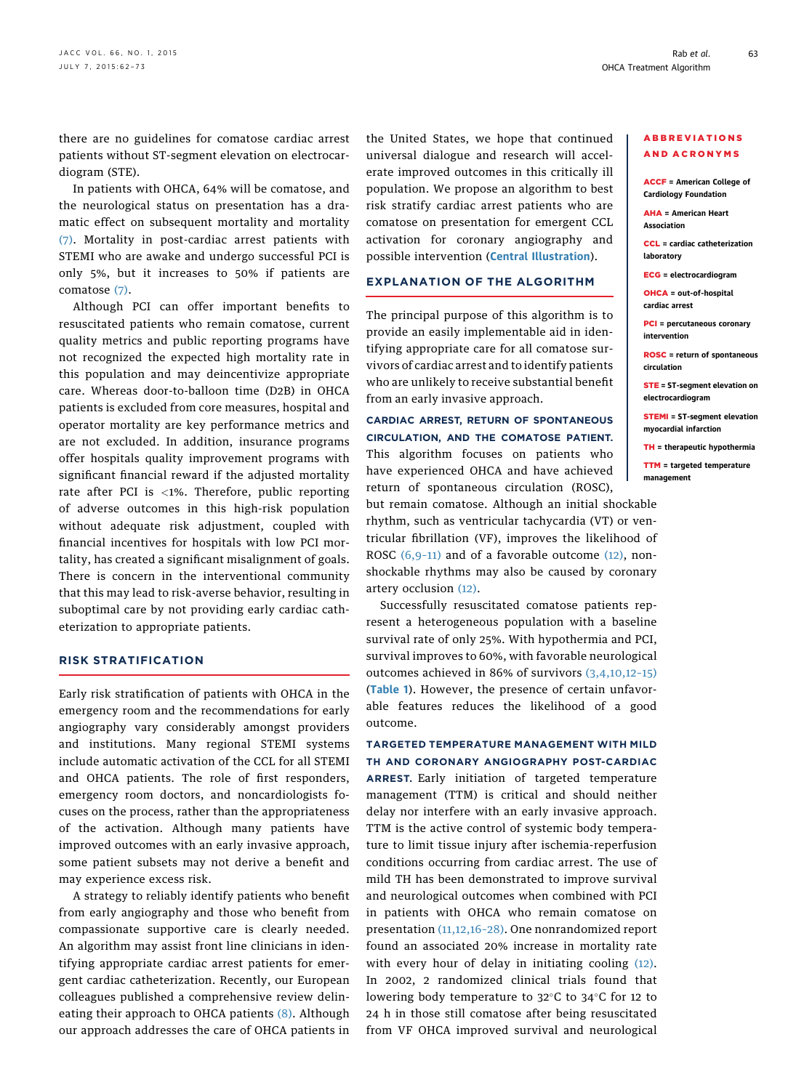there are no guidelines for comatose cardiac arrest patients without ST-segment elevation on electrocardiogram (STE).

In patients with OHCA, 64% will be comatose, and the neurological status on presentation has a dramatic effect on subsequent mortality and mortality [\(7\).](#page-9-0) Mortality in post-cardiac arrest patients with STEMI who are awake and undergo successful PCI is only 5%, but it increases to 50% if patients are comatose [\(7\).](#page-9-0)

Although PCI can offer important benefits to resuscitated patients who remain comatose, current quality metrics and public reporting programs have not recognized the expected high mortality rate in this population and may deincentivize appropriate care. Whereas door-to-balloon time (D2B) in OHCA patients is excluded from core measures, hospital and operator mortality are key performance metrics and are not excluded. In addition, insurance programs offer hospitals quality improvement programs with significant financial reward if the adjusted mortality rate after PCI is <1%. Therefore, public reporting of adverse outcomes in this high-risk population without adequate risk adjustment, coupled with financial incentives for hospitals with low PCI mortality, has created a significant misalignment of goals. There is concern in the interventional community that this may lead to risk-averse behavior, resulting in suboptimal care by not providing early cardiac catheterization to appropriate patients.

#### RISK STRATIFICATION

Early risk stratification of patients with OHCA in the emergency room and the recommendations for early angiography vary considerably amongst providers and institutions. Many regional STEMI systems include automatic activation of the CCL for all STEMI and OHCA patients. The role of first responders, emergency room doctors, and noncardiologists focuses on the process, rather than the appropriateness of the activation. Although many patients have improved outcomes with an early invasive approach, some patient subsets may not derive a benefit and may experience excess risk.

A strategy to reliably identify patients who benefit from early angiography and those who benefit from compassionate supportive care is clearly needed. An algorithm may assist front line clinicians in identifying appropriate cardiac arrest patients for emergent cardiac catheterization. Recently, our European colleagues published a comprehensive review delin-eating their approach to OHCA patients [\(8\).](#page-9-0) Although our approach addresses the care of OHCA patients in

the United States, we hope that continued universal dialogue and research will accelerate improved outcomes in this critically ill population. We propose an algorithm to best risk stratify cardiac arrest patients who are comatose on presentation for emergent CCL activation for coronary angiography and possible intervention ([Central Illustration](#page-2-0)).

#### EXPLANATION OF THE ALGORITHM

The principal purpose of this algorithm is to provide an easily implementable aid in identifying appropriate care for all comatose survivors of cardiac arrest and to identify patients who are unlikely to receive substantial benefit from an early invasive approach.

### CARDIAC ARREST, RETURN OF SPONTANEOUS CIRCULATION, AND THE COMATOSE PATIENT.

This algorithm focuses on patients who have experienced OHCA and have achieved return of spontaneous circulation (ROSC),

but remain comatose. Although an initial shockable rhythm, such as ventricular tachycardia (VT) or ventricular fibrillation (VF), improves the likelihood of ROSC [\(6,9](#page-9-0)-11) and of a favorable outcome [\(12\),](#page-9-0) nonshockable rhythms may also be caused by coronary artery occlusion [\(12\).](#page-9-0)

Successfully resuscitated comatose patients represent a heterogeneous population with a baseline survival rate of only 25%. With hypothermia and PCI, survival improves to 60%, with favorable neurological outcomes achieved in 86% of survivors [\(3,4,10,12](#page-9-0)–15) ([Table 1](#page-3-0)). However, the presence of certain unfavorable features reduces the likelihood of a good outcome.

#### TARGETED TEMPERATURE MANAGEMENT WITH MILD TH AND CORONARY ANGIOGRAPHY POST-CARDIAC

ARREST. Early initiation of targeted temperature management (TTM) is critical and should neither delay nor interfere with an early invasive approach. TTM is the active control of systemic body temperature to limit tissue injury after ischemia-reperfusion conditions occurring from cardiac arrest. The use of mild TH has been demonstrated to improve survival and neurological outcomes when combined with PCI in patients with OHCA who remain comatose on presentation [\(11,12,16](#page-9-0)–28). One nonrandomized report found an associated 20% increase in mortality rate with every hour of delay in initiating cooling [\(12\).](#page-9-0) In 2002, 2 randomized clinical trials found that lowering body temperature to 32°C to 34°C for 12 to 24 h in those still comatose after being resuscitated from VF OHCA improved survival and neurological

#### ABBREVIATIONS AND ACRONYMS

ACCF = American College of Cardiology Foundation

AHA = American Heart Association

CCL = cardiac catheterization laboratory

ECG = electrocardiogram

OHCA = out-of-hospital cardiac arrest

PCI = percutaneous coronary intervention

ROSC = return of spontaneous circulation

STE = ST-segment elevation on electrocardiogram

STEMI = ST-segment elevation myocardial infarction

TH = therapeutic hypothermia

TTM = targeted temperature management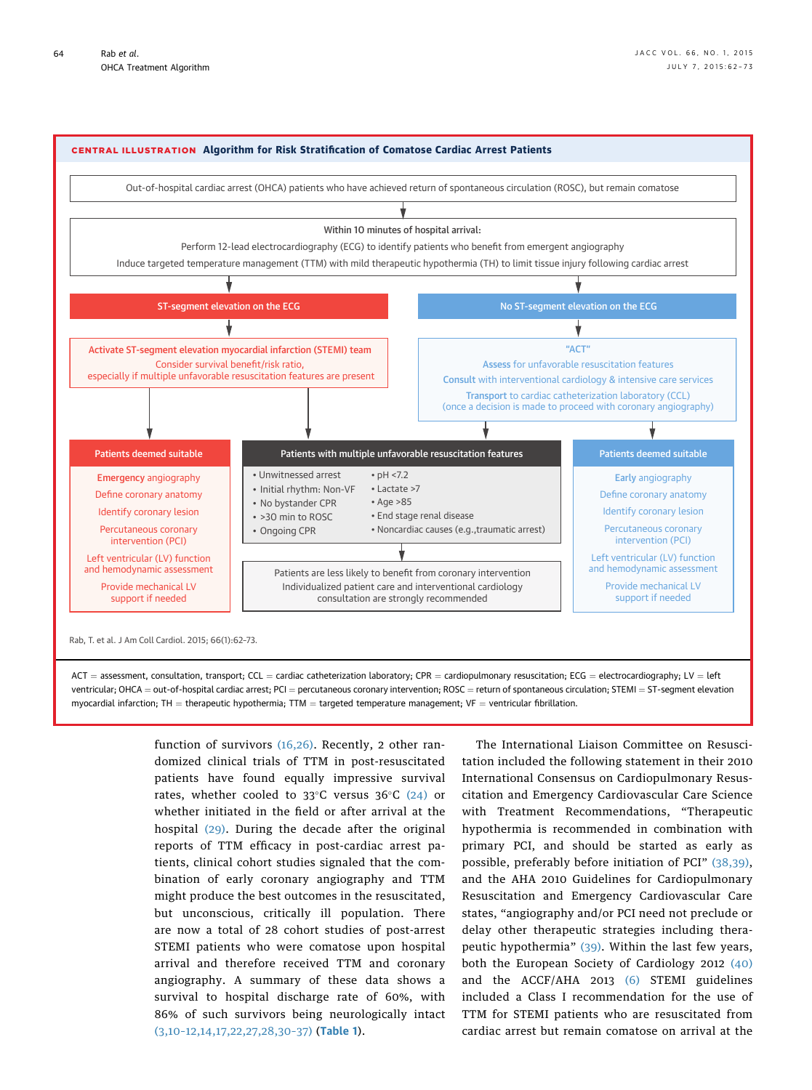<span id="page-2-0"></span>

 $ACT = assessment$ , consultation, transport; CCL = cardiac catheterization laboratory; CPR = cardiopulmonary resuscitation; ECG = electrocardiography; LV = left ventricular; OHCA = out-of-hospital cardiac arrest; PCI = percutaneous coronary intervention; ROSC = return of spontaneous circulation; STEMI = ST-segment elevation myocardial infarction; TH = therapeutic hypothermia; TTM = targeted temperature management; VF = ventricular fibrillation.

> function of survivors [\(16,26\).](#page-9-0) Recently, 2 other randomized clinical trials of TTM in post-resuscitated patients have found equally impressive survival rates, whether cooled to 33°C versus 36°C [\(24\)](#page-9-0) or whether initiated in the field or after arrival at the hospital [\(29\)](#page-9-0). During the decade after the original reports of TTM efficacy in post-cardiac arrest patients, clinical cohort studies signaled that the combination of early coronary angiography and TTM might produce the best outcomes in the resuscitated, but unconscious, critically ill population. There are now a total of 28 cohort studies of post-arrest STEMI patients who were comatose upon hospital arrival and therefore received TTM and coronary angiography. A summary of these data shows a survival to hospital discharge rate of 60%, with 86% of such survivors being neurologically intact (3,10–[12,14,17,22,27,28,30](#page-9-0)–37) ([Table 1](#page-3-0)).

The International Liaison Committee on Resuscitation included the following statement in their 2010 International Consensus on Cardiopulmonary Resuscitation and Emergency Cardiovascular Care Science with Treatment Recommendations, "Therapeutic hypothermia is recommended in combination with primary PCI, and should be started as early as possible, preferably before initiation of PCI" [\(38,39\),](#page-10-0) and the AHA 2010 Guidelines for Cardiopulmonary Resuscitation and Emergency Cardiovascular Care states, "angiography and/or PCI need not preclude or delay other therapeutic strategies including therapeutic hypothermia" [\(39\).](#page-10-0) Within the last few years, both the European Society of Cardiology 2012 [\(40\)](#page-10-0) and the ACCF/AHA 2013 [\(6\)](#page-9-0) STEMI guidelines included a Class I recommendation for the use of TTM for STEMI patients who are resuscitated from cardiac arrest but remain comatose on arrival at the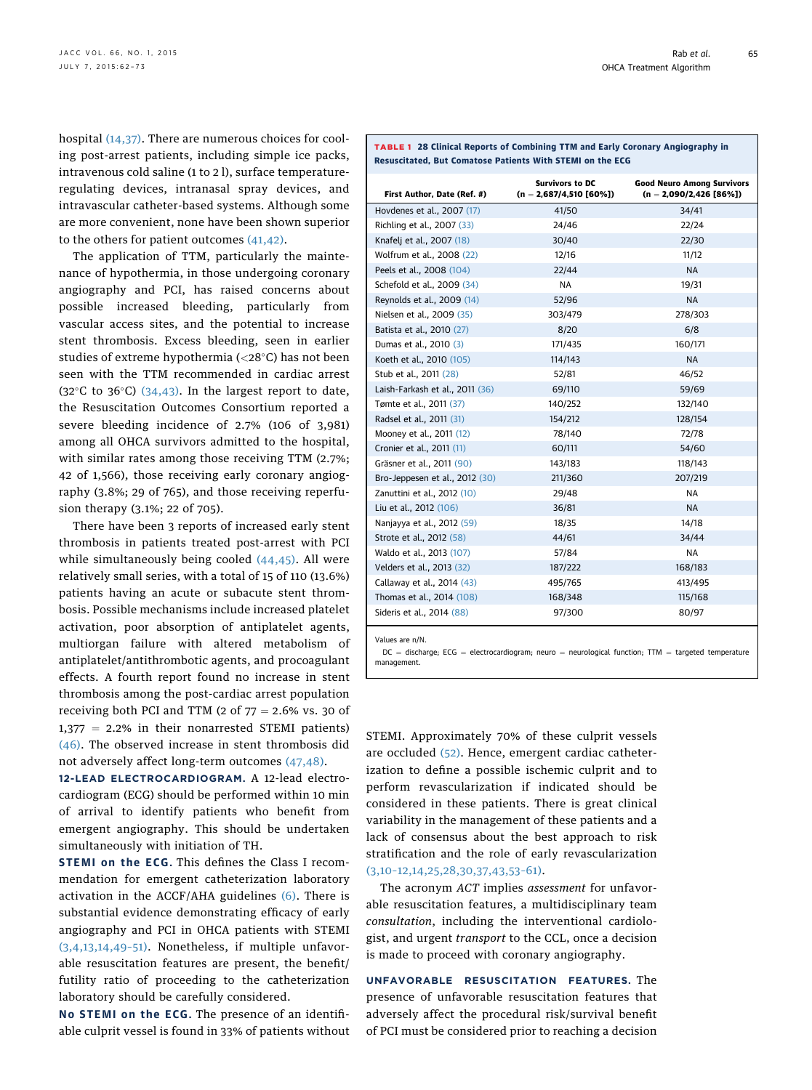<span id="page-3-0"></span>hospital [\(14,37\)](#page-9-0). There are numerous choices for cooling post-arrest patients, including simple ice packs, intravenous cold saline (1 to 2 l), surface temperatureregulating devices, intranasal spray devices, and intravascular catheter-based systems. Although some are more convenient, none have been shown superior to the others for patient outcomes [\(41,42\).](#page-10-0)

The application of TTM, particularly the maintenance of hypothermia, in those undergoing coronary angiography and PCI, has raised concerns about possible increased bleeding, particularly from vascular access sites, and the potential to increase stent thrombosis. Excess bleeding, seen in earlier studies of extreme hypothermia (<28-C) has not been seen with the TTM recommended in cardiac arrest (32 $\degree$ C to 36 $\degree$ C) [\(34,43\)](#page-10-0). In the largest report to date, the Resuscitation Outcomes Consortium reported a severe bleeding incidence of 2.7% (106 of 3,981) among all OHCA survivors admitted to the hospital, with similar rates among those receiving TTM (2.7%; 42 of 1,566), those receiving early coronary angiography (3.8%; 29 of 765), and those receiving reperfusion therapy (3.1%; 22 of 705).

There have been 3 reports of increased early stent thrombosis in patients treated post-arrest with PCI while simultaneously being cooled  $(44, 45)$ . All were relatively small series, with a total of 15 of 110 (13.6%) patients having an acute or subacute stent thrombosis. Possible mechanisms include increased platelet activation, poor absorption of antiplatelet agents, multiorgan failure with altered metabolism of antiplatelet/antithrombotic agents, and procoagulant effects. A fourth report found no increase in stent thrombosis among the post-cardiac arrest population receiving both PCI and TTM (2 of  $77 = 2.6\%$  vs. 30 of  $1,377 = 2.2\%$  in their nonarrested STEMI patients) [\(46\)](#page-10-0). The observed increase in stent thrombosis did not adversely affect long-term outcomes [\(47,48\)](#page-10-0).

12-LEAD ELECTROCARDIOGRAM. A 12-lead electrocardiogram (ECG) should be performed within 10 min of arrival to identify patients who benefit from emergent angiography. This should be undertaken simultaneously with initiation of TH.

STEMI on the ECG. This defines the Class I recommendation for emergent catheterization laboratory activation in the ACCF/AHA guidelines  $(6)$ . There is substantial evidence demonstrating efficacy of early angiography and PCI in OHCA patients with STEMI [\(3,4,13,14,49](#page-9-0)–51). Nonetheless, if multiple unfavorable resuscitation features are present, the benefit/ futility ratio of proceeding to the catheterization laboratory should be carefully considered.

No STEMI on the ECG. The presence of an identifiable culprit vessel is found in 33% of patients without

| First Author, Date (Ref. #)     | <b>Survivors to DC</b><br>$(n = 2,687/4,510 [60\%])$ | <b>Good Neuro Among Survivors</b><br>$(n = 2,090/2,426 [86\%])$ |  |  |
|---------------------------------|------------------------------------------------------|-----------------------------------------------------------------|--|--|
| Hovdenes et al., 2007 (17)      | 41/50                                                | 34/41                                                           |  |  |
| Richling et al., 2007 (33)      | 24/46                                                | 22/24                                                           |  |  |
| Knafelj et al., 2007 (18)       | 30/40                                                | 22/30                                                           |  |  |
| Wolfrum et al., 2008 (22)       | 12/16                                                | 11/12                                                           |  |  |
| Peels et al., 2008 (104)        | 22/44                                                | <b>NA</b>                                                       |  |  |
| Schefold et al., 2009 (34)      | <b>NA</b>                                            | 19/31                                                           |  |  |
| Reynolds et al., 2009 (14)      | 52/96                                                | <b>NA</b>                                                       |  |  |
| Nielsen et al., 2009 (35)       | 303/479                                              | 278/303                                                         |  |  |
| Batista et al., 2010 (27)       | 8/20                                                 | 6/8                                                             |  |  |
| Dumas et al., 2010 (3)          | 171/435                                              | 160/171                                                         |  |  |
| Koeth et al., 2010 (105)        | 114/143                                              | <b>NA</b>                                                       |  |  |
| Stub et al., 2011 (28)          | 52/81                                                | 46/52                                                           |  |  |
| Laish-Farkash et al., 2011 (36) | 69/110                                               | 59/69                                                           |  |  |
| Tømte et al., 2011 (37)         | 140/252                                              | 132/140                                                         |  |  |
| Radsel et al., 2011 (31)        | 154/212                                              | 128/154                                                         |  |  |
| Mooney et al., 2011 (12)        | 78/140                                               | 72/78                                                           |  |  |
| Cronier et al., 2011 (11)       | 60/111                                               | 54/60                                                           |  |  |
| Gräsner et al., 2011 (90)       | 143/183                                              | 118/143                                                         |  |  |
| Bro-Jeppesen et al., 2012 (30)  | 211/360                                              | 207/219                                                         |  |  |
| Zanuttini et al., 2012 (10)     | 29/48                                                | NA.                                                             |  |  |
| Liu et al., 2012 (106)          | 36/81                                                | <b>NA</b>                                                       |  |  |
| Nanjayya et al., 2012 (59)      | 18/35                                                | 14/18                                                           |  |  |
| Strote et al., 2012 (58)        | 44/61                                                | 34/44                                                           |  |  |
| Waldo et al., 2013 (107)        | 57/84                                                | <b>NA</b>                                                       |  |  |
| Velders et al., 2013 (32)       | 187/222                                              | 168/183                                                         |  |  |
| Callaway et al., 2014 (43)      | 495/765                                              | 413/495                                                         |  |  |
| Thomas et al., 2014 (108)       | 168/348                                              | 115/168                                                         |  |  |
| Sideris et al., 2014 (88)       | 97/300                                               | 80/97                                                           |  |  |

TABLE 1 28 Clinical Reports of Combining TTM and Early Coronary Angiography in Resuscitated, But Comatose Patients With STEMI on the ECG

Values are n/N.

 $DC =$  discharge; ECG = electrocardiogram; neuro = neurological function; TTM = targeted temperature management.

STEMI. Approximately 70% of these culprit vessels are occluded [\(52\).](#page-10-0) Hence, emergent cardiac catheterization to define a possible ischemic culprit and to perform revascularization if indicated should be considered in these patients. There is great clinical variability in the management of these patients and a lack of consensus about the best approach to risk stratification and the role of early revascularization (3,10–[12,14,25,28,30,37,43,53](#page-9-0)–61).

The acronym ACT implies assessment for unfavorable resuscitation features, a multidisciplinary team consultation, including the interventional cardiologist, and urgent transport to the CCL, once a decision is made to proceed with coronary angiography.

UNFAVORABLE RESUSCITATION FEATURES. The presence of unfavorable resuscitation features that adversely affect the procedural risk/survival benefit of PCI must be considered prior to reaching a decision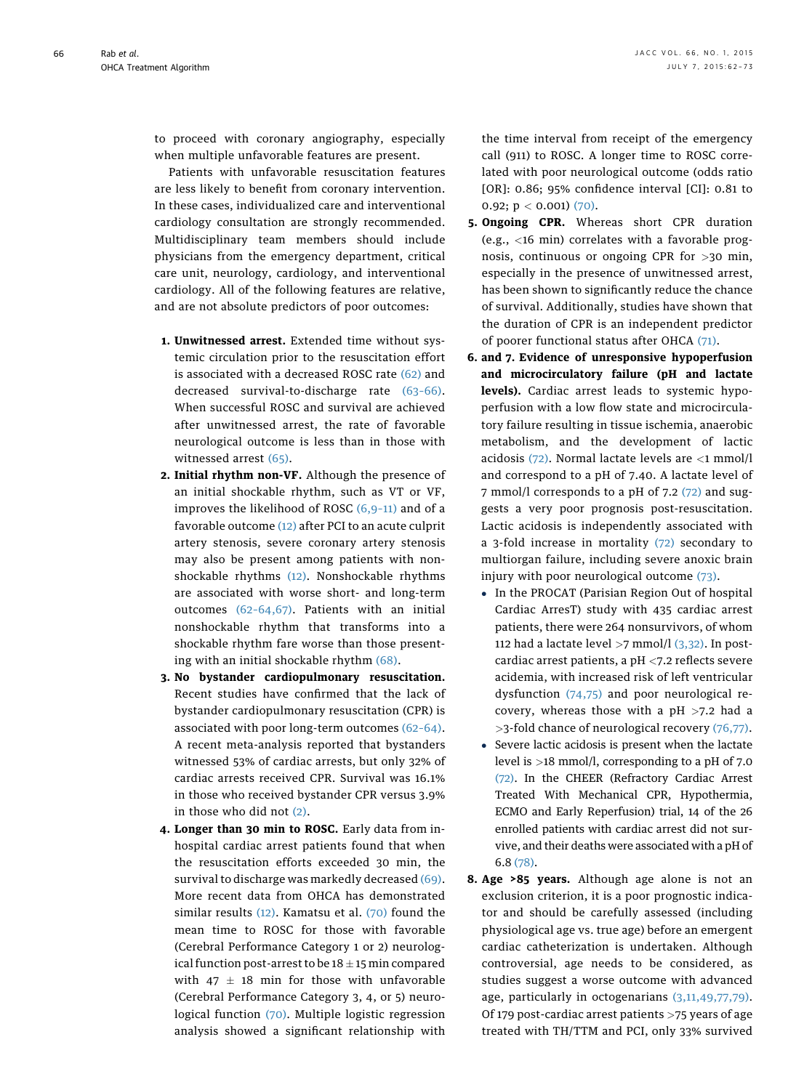to proceed with coronary angiography, especially when multiple unfavorable features are present.

Patients with unfavorable resuscitation features are less likely to benefit from coronary intervention. In these cases, individualized care and interventional cardiology consultation are strongly recommended. Multidisciplinary team members should include physicians from the emergency department, critical care unit, neurology, cardiology, and interventional cardiology. All of the following features are relative, and are not absolute predictors of poor outcomes:

- 1. Unwitnessed arrest. Extended time without systemic circulation prior to the resuscitation effort is associated with a decreased ROSC rate [\(62\)](#page-10-0) and decreased survival-to-discharge rate (63–[66\).](#page-10-0) When successful ROSC and survival are achieved after unwitnessed arrest, the rate of favorable neurological outcome is less than in those with witnessed arrest [\(65\)](#page-10-0).
- 2. Initial rhythm non-VF. Although the presence of an initial shockable rhythm, such as VT or VF, improves the likelihood of ROSC [\(6,9](#page-9-0)–11) and of a favorable outcome [\(12\)](#page-9-0) after PCI to an acute culprit artery stenosis, severe coronary artery stenosis may also be present among patients with nonshockable rhythms [\(12\).](#page-9-0) Nonshockable rhythms are associated with worse short- and long-term outcomes (62–[64,67\)](#page-10-0). Patients with an initial nonshockable rhythm that transforms into a shockable rhythm fare worse than those presenting with an initial shockable rhythm [\(68\)](#page-10-0).
- 3. No bystander cardiopulmonary resuscitation. Recent studies have confirmed that the lack of bystander cardiopulmonary resuscitation (CPR) is associated with poor long-term outcomes (62–[64\).](#page-10-0) A recent meta-analysis reported that bystanders witnessed 53% of cardiac arrests, but only 32% of cardiac arrests received CPR. Survival was 16.1% in those who received bystander CPR versus 3.9% in those who did not [\(2\).](#page-9-0)
- 4. Longer than 30 min to ROSC. Early data from inhospital cardiac arrest patients found that when the resuscitation efforts exceeded 30 min, the survival to discharge was markedly decreased [\(69\).](#page-10-0) More recent data from OHCA has demonstrated similar results [\(12\).](#page-9-0) Kamatsu et al. [\(70\)](#page-11-0) found the mean time to ROSC for those with favorable (Cerebral Performance Category 1 or 2) neurological function post-arrest to be  $18 \pm 15$  min compared with 47  $\pm$  18 min for those with unfavorable (Cerebral Performance Category 3, 4, or 5) neurological function [\(70\).](#page-11-0) Multiple logistic regression analysis showed a significant relationship with

the time interval from receipt of the emergency call (911) to ROSC. A longer time to ROSC correlated with poor neurological outcome (odds ratio [OR]: 0.86; 95% confidence interval [CI]: 0.81 to 0.92;  $p < 0.001$ ) [\(70\)](#page-11-0).

- 5. Ongoing CPR. Whereas short CPR duration (e.g., <16 min) correlates with a favorable prognosis, continuous or ongoing CPR for >30 min, especially in the presence of unwitnessed arrest, has been shown to significantly reduce the chance of survival. Additionally, studies have shown that the duration of CPR is an independent predictor of poorer functional status after OHCA [\(71\).](#page-11-0)
- 6. and 7. Evidence of unresponsive hypoperfusion and microcirculatory failure (pH and lactate levels). Cardiac arrest leads to systemic hypoperfusion with a low flow state and microcirculatory failure resulting in tissue ischemia, anaerobic metabolism, and the development of lactic acidosis  $(72)$ . Normal lactate levels are  $\langle 1 \text{ mmol/l} \rangle$ and correspond to a pH of 7.40. A lactate level of 7 mmol/l corresponds to a pH of 7.2 [\(72\)](#page-11-0) and suggests a very poor prognosis post-resuscitation. Lactic acidosis is independently associated with a 3-fold increase in mortality [\(72\)](#page-11-0) secondary to multiorgan failure, including severe anoxic brain injury with poor neurological outcome [\(73\).](#page-11-0)
	- In the PROCAT (Parisian Region Out of hospital Cardiac ArresT) study with 435 cardiac arrest patients, there were 264 nonsurvivors, of whom 112 had a lactate level  $>7$  mmol/l [\(3,32\).](#page-9-0) In postcardiac arrest patients, a pH <7.2 reflects severe acidemia, with increased risk of left ventricular dysfunction [\(74,75\)](#page-11-0) and poor neurological recovery, whereas those with a  $pH > 7.2$  had a >3-fold chance of neurological recovery [\(76,77\)](#page-11-0).
	- Severe lactic acidosis is present when the lactate level is >18 mmol/l, corresponding to a pH of 7.0 [\(72\).](#page-11-0) In the CHEER (Refractory Cardiac Arrest Treated With Mechanical CPR, Hypothermia, ECMO and Early Reperfusion) trial, 14 of the 26 enrolled patients with cardiac arrest did not survive, and their deaths were associated with a pH of 6.8 [\(78\)](#page-11-0).
- 8. Age >85 years. Although age alone is not an exclusion criterion, it is a poor prognostic indicator and should be carefully assessed (including physiological age vs. true age) before an emergent cardiac catheterization is undertaken. Although controversial, age needs to be considered, as studies suggest a worse outcome with advanced age, particularly in octogenarians [\(3,11,49,77,79\).](#page-9-0) Of 179 post-cardiac arrest patients >75 years of age treated with TH/TTM and PCI, only 33% survived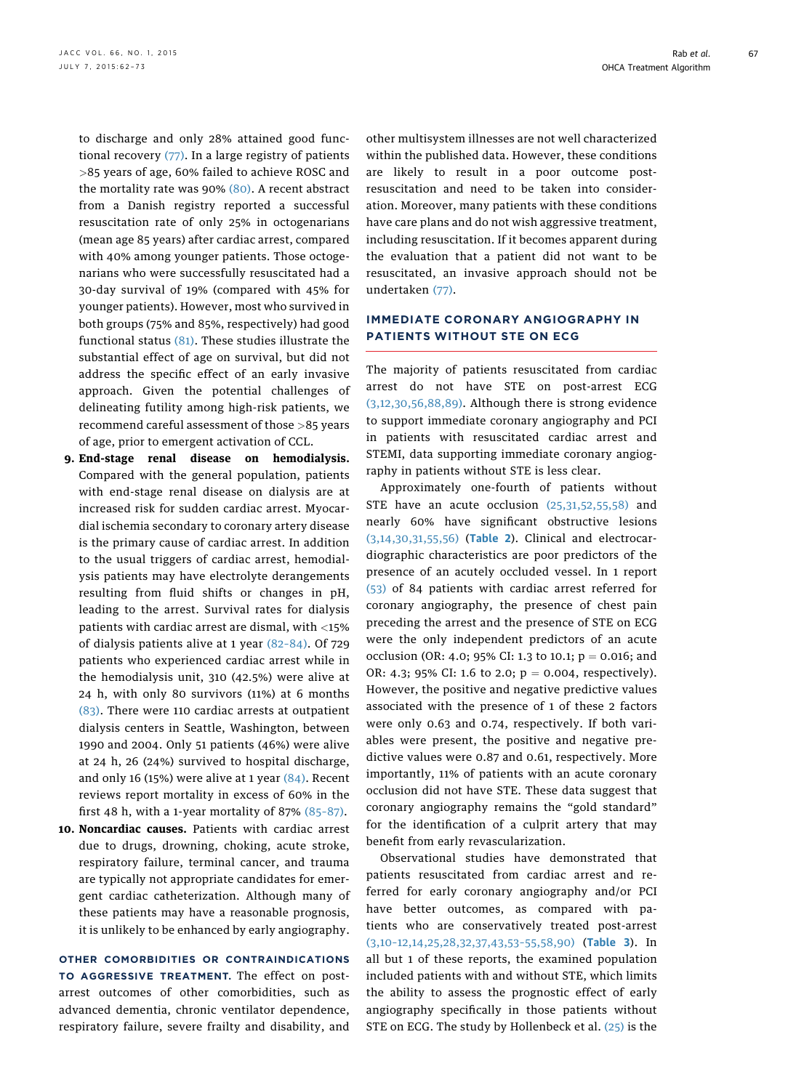to discharge and only 28% attained good functional recovery [\(77\)](#page-11-0). In a large registry of patients >85 years of age, 60% failed to achieve ROSC and the mortality rate was 90% [\(80\)](#page-11-0). A recent abstract from a Danish registry reported a successful resuscitation rate of only 25% in octogenarians (mean age 85 years) after cardiac arrest, compared with 40% among younger patients. Those octogenarians who were successfully resuscitated had a 30-day survival of 19% (compared with 45% for younger patients). However, most who survived in both groups (75% and 85%, respectively) had good functional status [\(81\)](#page-11-0). These studies illustrate the substantial effect of age on survival, but did not address the specific effect of an early invasive approach. Given the potential challenges of delineating futility among high-risk patients, we recommend careful assessment of those >85 years of age, prior to emergent activation of CCL.

- 9. End-stage renal disease on hemodialysis. Compared with the general population, patients with end-stage renal disease on dialysis are at increased risk for sudden cardiac arrest. Myocardial ischemia secondary to coronary artery disease is the primary cause of cardiac arrest. In addition to the usual triggers of cardiac arrest, hemodialysis patients may have electrolyte derangements resulting from fluid shifts or changes in pH, leading to the arrest. Survival rates for dialysis patients with cardiac arrest are dismal, with <15% of dialysis patients alive at 1 year (82–[84\)](#page-11-0). Of 729 patients who experienced cardiac arrest while in the hemodialysis unit, 310 (42.5%) were alive at 24 h, with only 80 survivors (11%) at 6 months [\(83\).](#page-11-0) There were 110 cardiac arrests at outpatient dialysis centers in Seattle, Washington, between 1990 and 2004. Only 51 patients (46%) were alive at 24 h, 26 (24%) survived to hospital discharge, and only 16 (15%) were alive at 1 year  $(84)$ . Recent reviews report mortality in excess of 60% in the first 48 h, with a 1-year mortality of 87% [\(85](#page-11-0)–87).
- 10. Noncardiac causes. Patients with cardiac arrest due to drugs, drowning, choking, acute stroke, respiratory failure, terminal cancer, and trauma are typically not appropriate candidates for emergent cardiac catheterization. Although many of these patients may have a reasonable prognosis, it is unlikely to be enhanced by early angiography.

OTHER COMORBIDITIES OR CONTRAINDICATIONS TO AGGRESSIVE TREATMENT. The effect on postarrest outcomes of other comorbidities, such as advanced dementia, chronic ventilator dependence, respiratory failure, severe frailty and disability, and

other multisystem illnesses are not well characterized within the published data. However, these conditions are likely to result in a poor outcome postresuscitation and need to be taken into consideration. Moreover, many patients with these conditions have care plans and do not wish aggressive treatment, including resuscitation. If it becomes apparent during the evaluation that a patient did not want to be resuscitated, an invasive approach should not be undertaken [\(77\)](#page-11-0).

#### IMMEDIATE CORONARY ANGIOGRAPHY IN PATIENTS WITHOUT STE ON ECG

The majority of patients resuscitated from cardiac arrest do not have STE on post-arrest ECG [\(3,12,30,56,88,89\)](#page-9-0). Although there is strong evidence to support immediate coronary angiography and PCI in patients with resuscitated cardiac arrest and STEMI, data supporting immediate coronary angiography in patients without STE is less clear.

Approximately one-fourth of patients without STE have an acute occlusion [\(25,31,52,55,58\)](#page-9-0) and nearly 60% have significant obstructive lesions [\(3,14,30,31,55,56\)](#page-9-0) ([Table 2](#page-6-0)). Clinical and electrocardiographic characteristics are poor predictors of the presence of an acutely occluded vessel. In 1 report [\(53\)](#page-10-0) of 84 patients with cardiac arrest referred for coronary angiography, the presence of chest pain preceding the arrest and the presence of STE on ECG were the only independent predictors of an acute occlusion (OR: 4.0; 95% CI: 1.3 to 10.1;  $p = 0.016$ ; and OR: 4.3; 95% CI: 1.6 to 2.0;  $p = 0.004$ , respectively). However, the positive and negative predictive values associated with the presence of 1 of these 2 factors were only 0.63 and 0.74, respectively. If both variables were present, the positive and negative predictive values were 0.87 and 0.61, respectively. More importantly, 11% of patients with an acute coronary occlusion did not have STE. These data suggest that coronary angiography remains the "gold standard" for the identification of a culprit artery that may benefit from early revascularization.

Observational studies have demonstrated that patients resuscitated from cardiac arrest and referred for early coronary angiography and/or PCI have better outcomes, as compared with patients who are conservatively treated post-arrest (3,10–[12,14,25,28,32,37,43,53](#page-9-0)–55,58,90) ([Table 3](#page-7-0)). In all but 1 of these reports, the examined population included patients with and without STE, which limits the ability to assess the prognostic effect of early angiography specifically in those patients without STE on ECG. The study by Hollenbeck et al. [\(25\)](#page-9-0) is the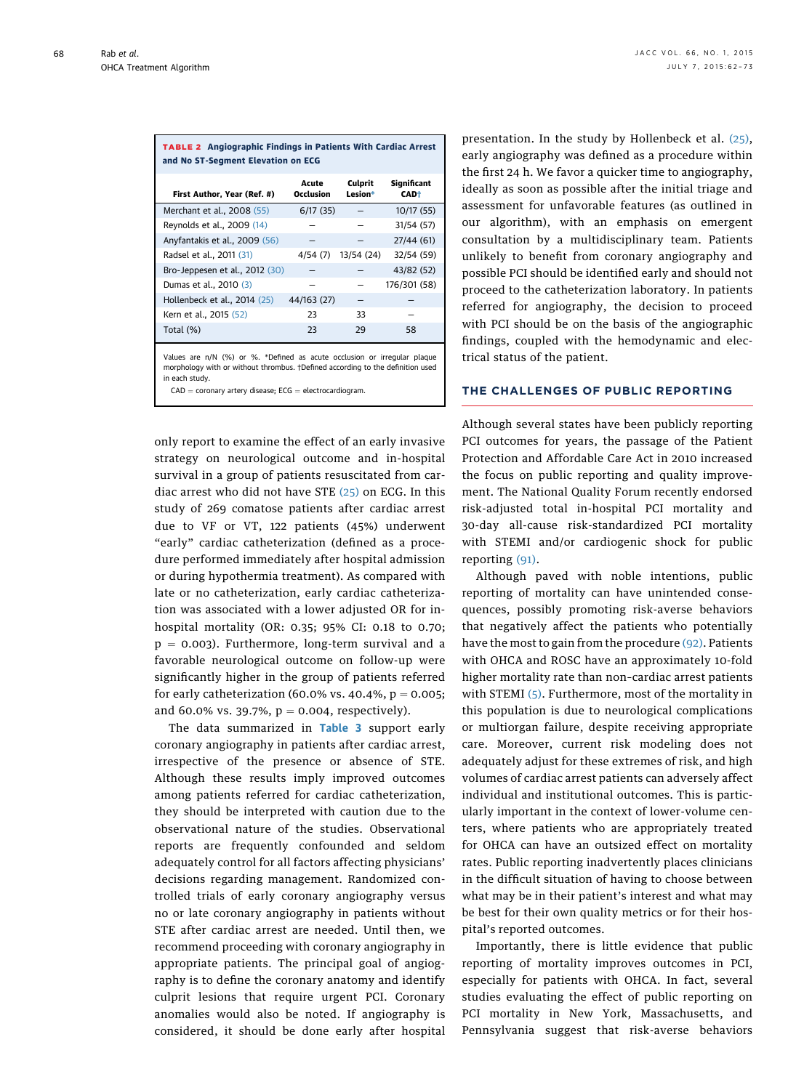<span id="page-6-0"></span>

| <b>TABLE 2</b> Angiographic Findings in Patients With Cardiac Arrest<br>and No ST-Segment Elevation on ECG |                    |                    |                             |  |  |  |  |  |  |
|------------------------------------------------------------------------------------------------------------|--------------------|--------------------|-----------------------------|--|--|--|--|--|--|
| First Author, Year (Ref. #)                                                                                | Acute<br>Occlusion | Culprit<br>Lesion* | Significant<br><b>CAD</b> † |  |  |  |  |  |  |
| Merchant et al., 2008 (55)                                                                                 | 6/17(35)           |                    | 10/17 (55)                  |  |  |  |  |  |  |
| Reynolds et al., 2009 (14)                                                                                 |                    |                    | 31/54 (57)                  |  |  |  |  |  |  |
| Anyfantakis et al., 2009 (56)                                                                              |                    |                    | 27/44(61)                   |  |  |  |  |  |  |
| Radsel et al., 2011 (31)                                                                                   | 4/54(7)            | 13/54 (24)         | 32/54 (59)                  |  |  |  |  |  |  |
| Bro-Jeppesen et al., 2012 (30)                                                                             |                    |                    | 43/82 (52)                  |  |  |  |  |  |  |
| Dumas et al., 2010 (3)                                                                                     |                    |                    | 176/301 (58)                |  |  |  |  |  |  |
| Hollenbeck et al., 2014 (25)                                                                               | 44/163 (27)        |                    |                             |  |  |  |  |  |  |
| Kern et al., 2015 (52)                                                                                     | 23                 | 33                 |                             |  |  |  |  |  |  |
| Total (%)                                                                                                  | 23                 | 29                 | 58                          |  |  |  |  |  |  |

Values are n/N (%) or %. \*Defined as acute occlusion or irregular plaque morphology with or without thrombus. †Defined according to the definition used in each study.

 $CAD =$  coronary artery disease;  $ECG =$  electrocardiogram.

only report to examine the effect of an early invasive strategy on neurological outcome and in-hospital survival in a group of patients resuscitated from cardiac arrest who did not have STE [\(25\)](#page-9-0) on ECG. In this study of 269 comatose patients after cardiac arrest due to VF or VT, 122 patients (45%) underwent "early" cardiac catheterization (defined as a procedure performed immediately after hospital admission or during hypothermia treatment). As compared with late or no catheterization, early cardiac catheterization was associated with a lower adjusted OR for inhospital mortality (OR: 0.35; 95% CI: 0.18 to 0.70;  $p = 0.003$ ). Furthermore, long-term survival and a favorable neurological outcome on follow-up were significantly higher in the group of patients referred for early catheterization (60.0% vs. 40.4%,  $p = 0.005$ ; and 60.0% vs. 39.7%,  $p = 0.004$ , respectively).

The data summarized in [Table 3](#page-7-0) support early coronary angiography in patients after cardiac arrest, irrespective of the presence or absence of STE. Although these results imply improved outcomes among patients referred for cardiac catheterization, they should be interpreted with caution due to the observational nature of the studies. Observational reports are frequently confounded and seldom adequately control for all factors affecting physicians' decisions regarding management. Randomized controlled trials of early coronary angiography versus no or late coronary angiography in patients without STE after cardiac arrest are needed. Until then, we recommend proceeding with coronary angiography in appropriate patients. The principal goal of angiography is to define the coronary anatomy and identify culprit lesions that require urgent PCI. Coronary anomalies would also be noted. If angiography is considered, it should be done early after hospital presentation. In the study by Hollenbeck et al. [\(25\),](#page-9-0) early angiography was defined as a procedure within the first 24 h. We favor a quicker time to angiography, ideally as soon as possible after the initial triage and assessment for unfavorable features (as outlined in our algorithm), with an emphasis on emergent consultation by a multidisciplinary team. Patients unlikely to benefit from coronary angiography and possible PCI should be identified early and should not proceed to the catheterization laboratory. In patients referred for angiography, the decision to proceed with PCI should be on the basis of the angiographic findings, coupled with the hemodynamic and electrical status of the patient.

#### THE CHALLENGES OF PUBLIC REPORTING

Although several states have been publicly reporting PCI outcomes for years, the passage of the Patient Protection and Affordable Care Act in 2010 increased the focus on public reporting and quality improvement. The National Quality Forum recently endorsed risk-adjusted total in-hospital PCI mortality and 30-day all-cause risk-standardized PCI mortality with STEMI and/or cardiogenic shock for public reporting [\(91\).](#page-11-0)

Although paved with noble intentions, public reporting of mortality can have unintended consequences, possibly promoting risk-averse behaviors that negatively affect the patients who potentially have the most to gain from the procedure [\(92\)](#page-11-0). Patients with OHCA and ROSC have an approximately 10-fold higher mortality rate than non–cardiac arrest patients with STEMI  $(5)$ . Furthermore, most of the mortality in this population is due to neurological complications or multiorgan failure, despite receiving appropriate care. Moreover, current risk modeling does not adequately adjust for these extremes of risk, and high volumes of cardiac arrest patients can adversely affect individual and institutional outcomes. This is particularly important in the context of lower-volume centers, where patients who are appropriately treated for OHCA can have an outsized effect on mortality rates. Public reporting inadvertently places clinicians in the difficult situation of having to choose between what may be in their patient's interest and what may be best for their own quality metrics or for their hospital's reported outcomes.

Importantly, there is little evidence that public reporting of mortality improves outcomes in PCI, especially for patients with OHCA. In fact, several studies evaluating the effect of public reporting on PCI mortality in New York, Massachusetts, and Pennsylvania suggest that risk-averse behaviors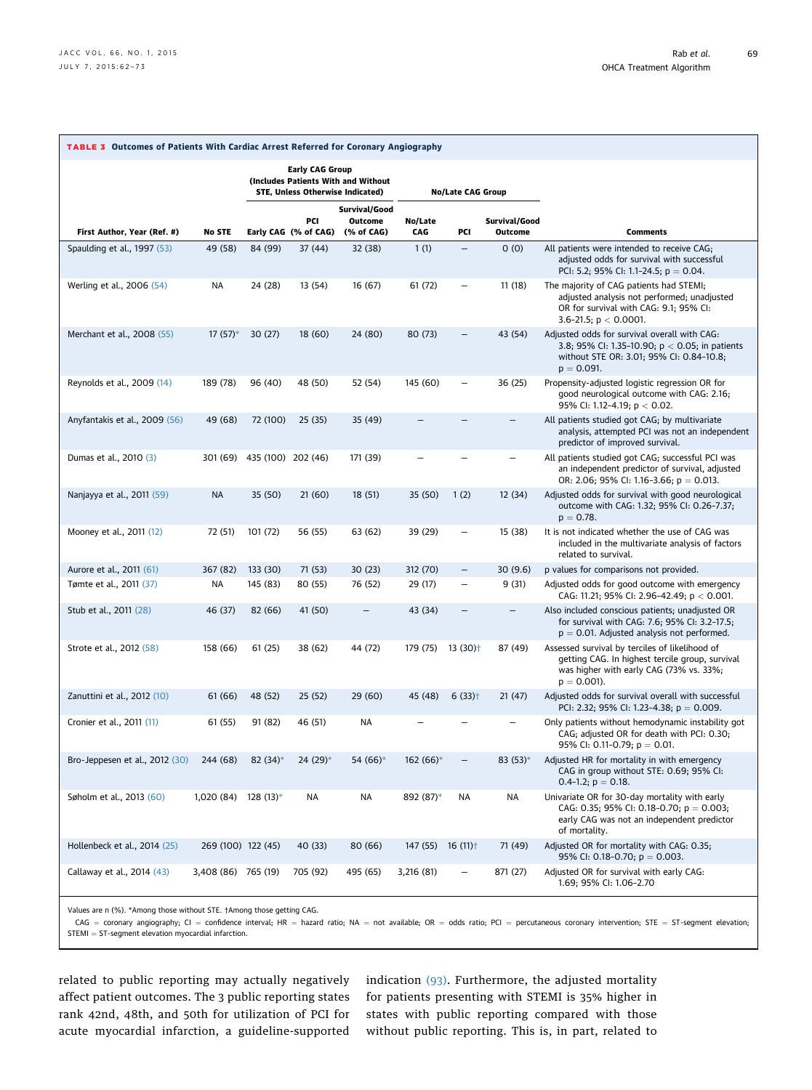<span id="page-7-0"></span>

| TABLE 3 Outcomes of Patients With Cardiac Arrest Referred for Coronary Angiography |                       |                             |                                                                   |                                        |                                |                          |                                 |                                                                                                                                                                |  |
|------------------------------------------------------------------------------------|-----------------------|-----------------------------|-------------------------------------------------------------------|----------------------------------------|--------------------------------|--------------------------|---------------------------------|----------------------------------------------------------------------------------------------------------------------------------------------------------------|--|
|                                                                                    |                       |                             | <b>Early CAG Group</b><br><b>STE, Unless Otherwise Indicated)</b> | (Includes Patients With and Without    | <b>No/Late CAG Group</b>       |                          |                                 |                                                                                                                                                                |  |
| First Author, Year (Ref. #)                                                        | No STE                |                             | PCI<br>Early CAG (% of CAG)                                       | Survival/Good<br>Outcome<br>(% of CAG) | No/Late<br>CAG                 | PCI                      | Survival/Good<br><b>Outcome</b> | <b>Comments</b>                                                                                                                                                |  |
| Spaulding et al., 1997 (53)                                                        | 49 (58)               | 84 (99)                     | 37(44)                                                            | 32 (38)                                | 1(1)                           | $\overline{\phantom{0}}$ | 0(0)                            | All patients were intended to receive CAG;<br>adjusted odds for survival with successful<br>PCI: 5.2; 95% CI: 1.1-24.5; p = 0.04.                              |  |
| Werling et al., 2006 (54)                                                          | ΝA                    | 24 (28)                     | 13 (54)                                                           | 16 (67)                                | 61(72)                         |                          | 11(18)                          | The majority of CAG patients had STEMI;<br>adjusted analysis not performed; unadjusted<br>OR for survival with CAG: 9.1; 95% CI:<br>3.6-21.5; $p < 0.0001$ .   |  |
| Merchant et al., 2008 (55)                                                         | $17(57)^*$            | 30(27)                      | 18(60)                                                            | 24 (80)                                | 80 (73)                        | $\overline{\phantom{0}}$ | 43 (54)                         | Adjusted odds for survival overall with CAG:<br>3.8; 95% Cl: 1.35-10.90; $p < 0.05$ ; in patients<br>without STE OR: 3.01; 95% CI: 0.84-10.8;<br>$p = 0.091$ . |  |
| Reynolds et al., 2009 (14)                                                         | 189 (78)              | 96 (40)                     | 48 (50)                                                           | 52 (54)                                | 145 (60)                       | -                        | 36 (25)                         | Propensity-adjusted logistic regression OR for<br>good neurological outcome with CAG: 2.16;<br>95% CI: 1.12-4.19; $p < 0.02$ .                                 |  |
| Anyfantakis et al., 2009 (56)                                                      | 49 (68)               | 72 (100)                    | 25(35)                                                            | 35 (49)                                |                                |                          | $\overline{\phantom{0}}$        | All patients studied got CAG; by multivariate<br>analysis, attempted PCI was not an independent<br>predictor of improved survival.                             |  |
| Dumas et al., 2010 (3)                                                             |                       | 301 (69) 435 (100) 202 (46) |                                                                   | 171 (39)                               |                                |                          | -                               | All patients studied got CAG; successful PCI was<br>an independent predictor of survival, adjusted<br>OR: 2.06; 95% CI: 1.16-3.66; $p = 0.013$ .               |  |
| Nanjayya et al., 2011 (59)                                                         | <b>NA</b>             | 35 (50)                     | 21(60)                                                            | 18(51)                                 | 35 (50)                        | 1(2)                     | 12(34)                          | Adjusted odds for survival with good neurological<br>outcome with CAG: 1.32; 95% CI: 0.26-7.37;<br>$p = 0.78$ .                                                |  |
| Mooney et al., 2011 (12)                                                           | 72 (51)               | 101(72)                     | 56 (55)                                                           | 63 (62)                                | 39 (29)                        | $\qquad \qquad -$        | 15 (38)                         | It is not indicated whether the use of CAG was<br>included in the multivariate analysis of factors<br>related to survival.                                     |  |
| Aurore et al., 2011 (61)                                                           | 367 (82)              | 133 (30)                    | 71 (53)                                                           | 30(23)                                 | 312 (70)                       | $\qquad \qquad -$        | 30(9.6)                         | p values for comparisons not provided.                                                                                                                         |  |
| Tømte et al., 2011 (37)                                                            | ΝA                    | 145 (83)                    | 80 (55)                                                           | 76 (52)                                | 29 (17)                        | $\overline{\phantom{0}}$ | 9(31)                           | Adjusted odds for good outcome with emergency<br>CAG: 11.21; 95% CI: 2.96-42.49; $p < 0.001$ .                                                                 |  |
| Stub et al., 2011 (28)                                                             | 46 (37)               | 82 (66)                     | 41 (50)                                                           |                                        | 43 (34)                        | $\qquad \qquad -$        | -                               | Also included conscious patients; unadjusted OR<br>for survival with CAG: 7.6; 95% CI: 3.2-17.5;<br>$p = 0.01$ . Adjusted analysis not performed.              |  |
| Strote et al., 2012 (58)                                                           | 158 (66)              | 61(25)                      | 38 (62)                                                           | 44 (72)                                | 179 (75)                       | 13 (30)†                 | 87 (49)                         | Assessed survival by terciles of likelihood of<br>getting CAG. In highest tercile group, survival<br>was higher with early CAG (73% vs. 33%;<br>$p = 0.001$ ). |  |
| Zanuttini et al., 2012 (10)                                                        | 61(66)                | 48 (52)                     | 25(52)                                                            | 29(60)                                 | 45 (48)                        | $6(33)$ <sup>+</sup>     | 21(47)                          | Adjusted odds for survival overall with successful<br>PCI: 2.32; 95% CI: 1.23-4.38; $p = 0.009$ .                                                              |  |
| Cronier et al., 2011 (11)                                                          | 61 (55)               | 91 (82)                     | 46 (51)                                                           | NA                                     |                                |                          | -                               | Only patients without hemodynamic instability got<br>CAG; adjusted OR for death with PCI: 0.30;<br>95% CI: 0.11-0.79; $p = 0.01$ .                             |  |
| Bro-Jeppesen et al., 2012 (30)                                                     | 244 (68)              | $82(34)$ *                  | $24(29)$ *                                                        | 54 (66)*                               | $162(66)$ *                    | $\overline{\phantom{0}}$ | $83(53)*$                       | Adjusted HR for mortality in with emergency<br>CAG in group without STE: 0.69; 95% CI:<br>0.4-1.2; $p = 0.18$ .                                                |  |
| Søholm et al., 2013 (60)                                                           | $1,020(84)$ 128 (13)* |                             | ΝA                                                                | NA                                     | 892 (87)*                      | NA                       | NA                              | Univariate OR for 30-day mortality with early<br>CAG: 0.35; 95% CI: 0.18-0.70; $p = 0.003$ ;<br>early CAG was not an independent predictor<br>of mortality.    |  |
| Hollenbeck et al., 2014 (25)                                                       | 269 (100) 122 (45)    |                             | 40 (33)                                                           | 80 (66)                                | $147(55)$ 16 (11) <sup>+</sup> |                          | 71 (49)                         | Adjusted OR for mortality with CAG: 0.35;<br>95% CI: 0.18-0.70; $p = 0.003$ .                                                                                  |  |
| Callaway et al., 2014 (43)                                                         | 3,408 (86) 765 (19)   |                             | 705 (92)                                                          | 495 (65)                               | 3,216 (81)                     |                          | 871 (27)                        | Adjusted OR for survival with early CAG:<br>1.69; 95% CI: 1.06-2.70                                                                                            |  |

Values are n (%). \*Among those without STE. †Among those getting CAG.

 $CAG =$  coronary angiography; CI = confidence interval; HR = hazard ratio; NA = not available; OR = odds ratio; PCI = percutaneous coronary intervention; STE = ST-segment elevation;<br>STEMI = ST-segment elevation myocardial i

related to public reporting may actually negatively affect patient outcomes. The 3 public reporting states rank 42nd, 48th, and 50th for utilization of PCI for acute myocardial infarction, a guideline-supported

indication [\(93\)](#page-11-0). Furthermore, the adjusted mortality for patients presenting with STEMI is 35% higher in states with public reporting compared with those without public reporting. This is, in part, related to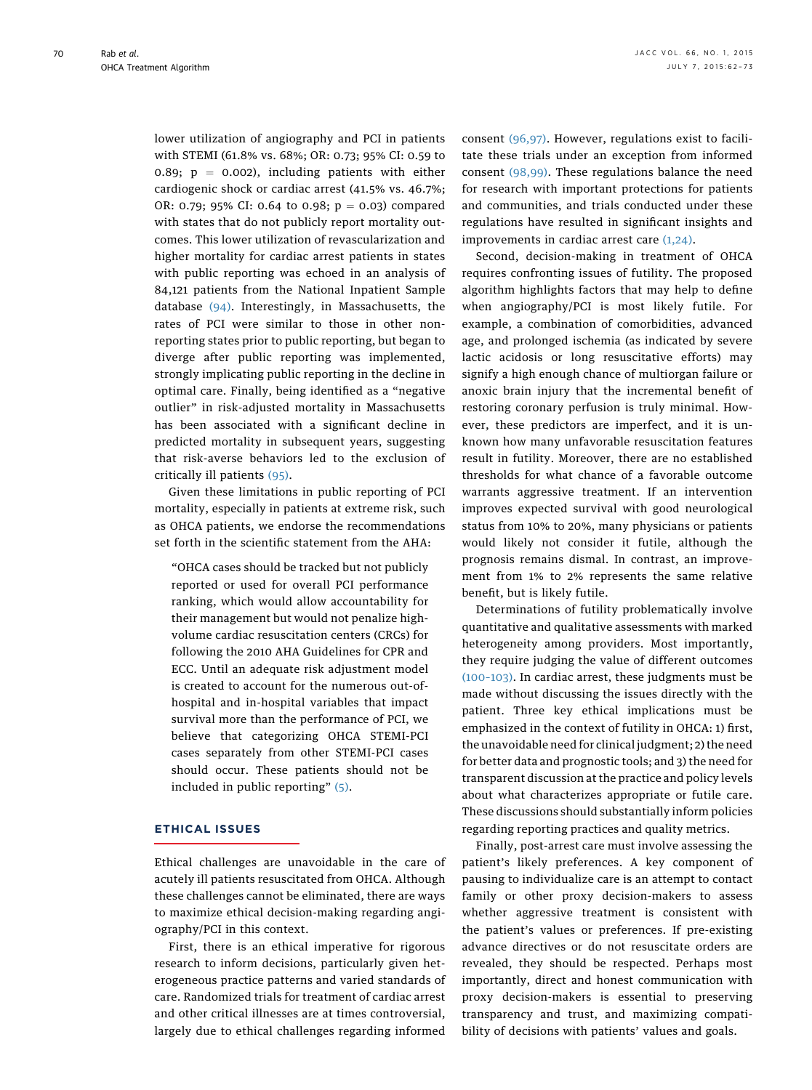lower utilization of angiography and PCI in patients with STEMI (61.8% vs. 68%; OR: 0.73; 95% CI: 0.59 to 0.89;  $p = 0.002$ ), including patients with either cardiogenic shock or cardiac arrest (41.5% vs. 46.7%; OR: 0.79; 95% CI: 0.64 to 0.98;  $p = 0.03$ ) compared with states that do not publicly report mortality outcomes. This lower utilization of revascularization and higher mortality for cardiac arrest patients in states with public reporting was echoed in an analysis of 84,121 patients from the National Inpatient Sample database [\(94\)](#page-11-0). Interestingly, in Massachusetts, the rates of PCI were similar to those in other nonreporting states prior to public reporting, but began to diverge after public reporting was implemented, strongly implicating public reporting in the decline in optimal care. Finally, being identified as a "negative outlier" in risk-adjusted mortality in Massachusetts has been associated with a significant decline in predicted mortality in subsequent years, suggesting that risk-averse behaviors led to the exclusion of critically ill patients [\(95\)](#page-11-0).

Given these limitations in public reporting of PCI mortality, especially in patients at extreme risk, such as OHCA patients, we endorse the recommendations set forth in the scientific statement from the AHA:

"OHCA cases should be tracked but not publicly reported or used for overall PCI performance ranking, which would allow accountability for their management but would not penalize highvolume cardiac resuscitation centers (CRCs) for following the 2010 AHA Guidelines for CPR and ECC. Until an adequate risk adjustment model is created to account for the numerous out-ofhospital and in-hospital variables that impact survival more than the performance of PCI, we believe that categorizing OHCA STEMI-PCI cases separately from other STEMI-PCI cases should occur. These patients should not be included in public reporting" [\(5\).](#page-9-0)

#### ETHICAL ISSUES

Ethical challenges are unavoidable in the care of acutely ill patients resuscitated from OHCA. Although these challenges cannot be eliminated, there are ways to maximize ethical decision-making regarding angiography/PCI in this context.

First, there is an ethical imperative for rigorous research to inform decisions, particularly given heterogeneous practice patterns and varied standards of care. Randomized trials for treatment of cardiac arrest and other critical illnesses are at times controversial, largely due to ethical challenges regarding informed

consent [\(96,97\).](#page-11-0) However, regulations exist to facilitate these trials under an exception from informed consent [\(98,99\).](#page-11-0) These regulations balance the need for research with important protections for patients and communities, and trials conducted under these regulations have resulted in significant insights and improvements in cardiac arrest care  $(1,24)$ .

Second, decision-making in treatment of OHCA requires confronting issues of futility. The proposed algorithm highlights factors that may help to define when angiography/PCI is most likely futile. For example, a combination of comorbidities, advanced age, and prolonged ischemia (as indicated by severe lactic acidosis or long resuscitative efforts) may signify a high enough chance of multiorgan failure or anoxic brain injury that the incremental benefit of restoring coronary perfusion is truly minimal. However, these predictors are imperfect, and it is unknown how many unfavorable resuscitation features result in futility. Moreover, there are no established thresholds for what chance of a favorable outcome warrants aggressive treatment. If an intervention improves expected survival with good neurological status from 10% to 20%, many physicians or patients would likely not consider it futile, although the prognosis remains dismal. In contrast, an improvement from 1% to 2% represents the same relative benefit, but is likely futile.

Determinations of futility problematically involve quantitative and qualitative assessments with marked heterogeneity among providers. Most importantly, they require judging the value of different outcomes [\(100](#page-11-0)–103). In cardiac arrest, these judgments must be made without discussing the issues directly with the patient. Three key ethical implications must be emphasized in the context of futility in OHCA: 1) first, the unavoidable need for clinical judgment; 2) the need for better data and prognostic tools; and 3) the need for transparent discussion at the practice and policy levels about what characterizes appropriate or futile care. These discussions should substantially inform policies regarding reporting practices and quality metrics.

Finally, post-arrest care must involve assessing the patient's likely preferences. A key component of pausing to individualize care is an attempt to contact family or other proxy decision-makers to assess whether aggressive treatment is consistent with the patient's values or preferences. If pre-existing advance directives or do not resuscitate orders are revealed, they should be respected. Perhaps most importantly, direct and honest communication with proxy decision-makers is essential to preserving transparency and trust, and maximizing compatibility of decisions with patients' values and goals.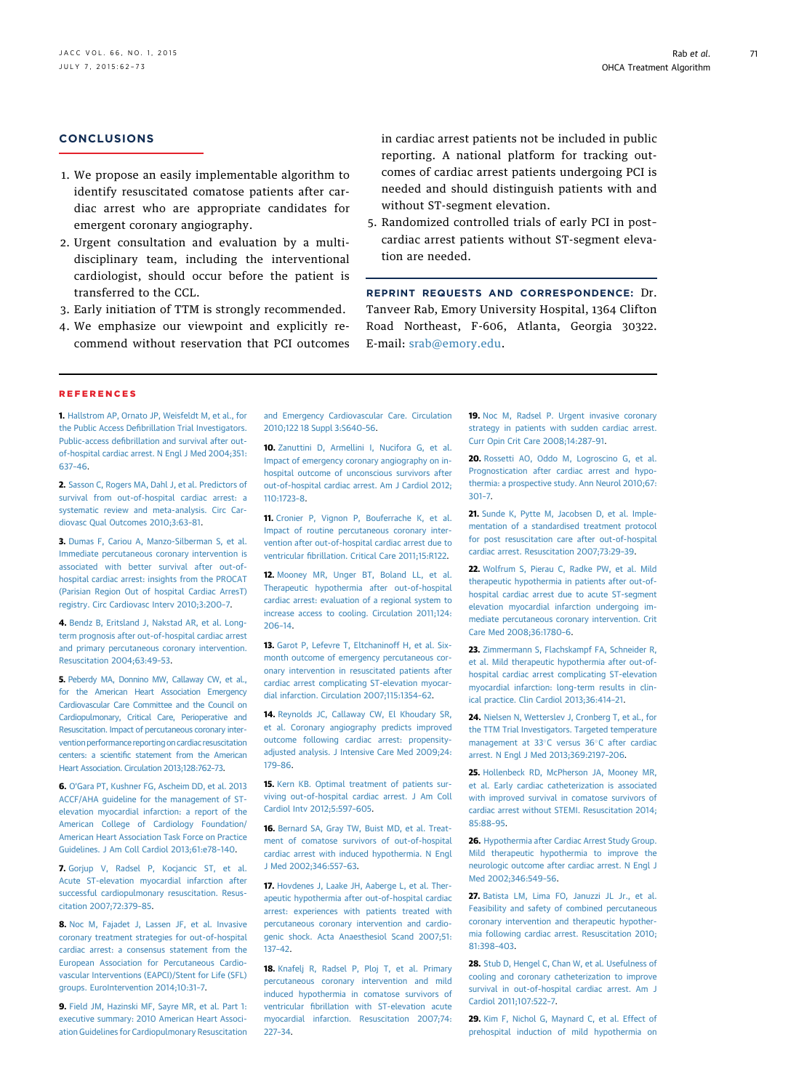#### <span id="page-9-0"></span>**CONCLUSIONS**

- 1. We propose an easily implementable algorithm to identify resuscitated comatose patients after cardiac arrest who are appropriate candidates for emergent coronary angiography.
- 2. Urgent consultation and evaluation by a multidisciplinary team, including the interventional cardiologist, should occur before the patient is transferred to the CCL.
- 3. Early initiation of TTM is strongly recommended.
- 4. We emphasize our viewpoint and explicitly recommend without reservation that PCI outcomes

in cardiac arrest patients not be included in public reporting. A national platform for tracking outcomes of cardiac arrest patients undergoing PCI is needed and should distinguish patients with and without ST-segment elevation.

5. Randomized controlled trials of early PCI in post– cardiac arrest patients without ST-segment elevation are needed.

REPRINT REQUESTS AND CORRESPONDENCE: Dr. Tanveer Rab, Emory University Hospital, 1364 Clifton Road Northeast, F-606, Atlanta, Georgia 30322. E-mail: [srab@emory.edu.](mailto:srab@emory.edu)

#### REFERENCES

1. [Hallstrom AP, Ornato JP, Weisfeldt M, et al., for](http://refhub.elsevier.com/S0735-1097(15)02276-7/sref1) the Public Access Defi[brillation Trial Investigators.](http://refhub.elsevier.com/S0735-1097(15)02276-7/sref1) Public-access defi[brillation and survival after out](http://refhub.elsevier.com/S0735-1097(15)02276-7/sref1)[of-hospital cardiac arrest. N Engl J Med 2004;351:](http://refhub.elsevier.com/S0735-1097(15)02276-7/sref1) [637](http://refhub.elsevier.com/S0735-1097(15)02276-7/sref1)–46.

2. [Sasson C, Rogers MA, Dahl J, et al. Predictors of](http://refhub.elsevier.com/S0735-1097(15)02276-7/sref2) [survival from out-of-hospital cardiac arrest: a](http://refhub.elsevier.com/S0735-1097(15)02276-7/sref2) [systematic review and meta-analysis. Circ Car](http://refhub.elsevier.com/S0735-1097(15)02276-7/sref2)[diovasc Qual Outcomes 2010;3:63](http://refhub.elsevier.com/S0735-1097(15)02276-7/sref2)–81.

3. [Dumas F, Cariou A, Manzo-Silberman S, et al.](http://refhub.elsevier.com/S0735-1097(15)02276-7/sref3) [Immediate percutaneous coronary intervention is](http://refhub.elsevier.com/S0735-1097(15)02276-7/sref3) [associated with better survival after out-of](http://refhub.elsevier.com/S0735-1097(15)02276-7/sref3)[hospital cardiac arrest: insights from the PROCAT](http://refhub.elsevier.com/S0735-1097(15)02276-7/sref3) [\(Parisian Region Out of hospital Cardiac ArresT\)](http://refhub.elsevier.com/S0735-1097(15)02276-7/sref3) [registry. Circ Cardiovasc Interv 2010;3:200](http://refhub.elsevier.com/S0735-1097(15)02276-7/sref3)–7.

4. [Bendz B, Eritsland J, Nakstad AR, et al. Long](http://refhub.elsevier.com/S0735-1097(15)02276-7/sref4)[term prognosis after out-of-hospital cardiac arrest](http://refhub.elsevier.com/S0735-1097(15)02276-7/sref4) [and primary percutaneous coronary intervention.](http://refhub.elsevier.com/S0735-1097(15)02276-7/sref4) [Resuscitation 2004;63:49](http://refhub.elsevier.com/S0735-1097(15)02276-7/sref4)–53.

5. [Peberdy MA, Donnino MW, Callaway CW, et al.,](http://refhub.elsevier.com/S0735-1097(15)02276-7/sref5) [for the American Heart Association Emergency](http://refhub.elsevier.com/S0735-1097(15)02276-7/sref5) [Cardiovascular Care Committee and the Council on](http://refhub.elsevier.com/S0735-1097(15)02276-7/sref5) [Cardiopulmonary, Critical Care, Perioperative and](http://refhub.elsevier.com/S0735-1097(15)02276-7/sref5) [Resuscitation. Impact of percutaneous coronary inter](http://refhub.elsevier.com/S0735-1097(15)02276-7/sref5)[vention performance reporting on cardiac resuscitation](http://refhub.elsevier.com/S0735-1097(15)02276-7/sref5) centers: a scientifi[c statement from the American](http://refhub.elsevier.com/S0735-1097(15)02276-7/sref5) [Heart Association. Circulation 2013;128:762](http://refhub.elsevier.com/S0735-1097(15)02276-7/sref5)–73.

6. O'[Gara PT, Kushner FG, Ascheim DD, et al. 2013](http://refhub.elsevier.com/S0735-1097(15)02276-7/sref6) [ACCF/AHA guideline for the management of ST](http://refhub.elsevier.com/S0735-1097(15)02276-7/sref6)[elevation myocardial infarction: a report of the](http://refhub.elsevier.com/S0735-1097(15)02276-7/sref6) [American College of Cardiology Foundation/](http://refhub.elsevier.com/S0735-1097(15)02276-7/sref6) [American Heart Association Task Force on Practice](http://refhub.elsevier.com/S0735-1097(15)02276-7/sref6) [Guidelines. J Am Coll Cardiol 2013;61:e78](http://refhub.elsevier.com/S0735-1097(15)02276-7/sref6)–140.

7. [Gorjup V, Radsel P, Kocjancic ST, et al.](http://refhub.elsevier.com/S0735-1097(15)02276-7/sref7) [Acute ST-elevation myocardial infarction after](http://refhub.elsevier.com/S0735-1097(15)02276-7/sref7) [successful cardiopulmonary resuscitation. Resus](http://refhub.elsevier.com/S0735-1097(15)02276-7/sref7)[citation 2007;72:379](http://refhub.elsevier.com/S0735-1097(15)02276-7/sref7)–85.

8. [Noc M, Fajadet J, Lassen JF, et al. Invasive](http://refhub.elsevier.com/S0735-1097(15)02276-7/sref8) [coronary treatment strategies for out-of-hospital](http://refhub.elsevier.com/S0735-1097(15)02276-7/sref8) [cardiac arrest: a consensus statement from the](http://refhub.elsevier.com/S0735-1097(15)02276-7/sref8) [European Association for Percutaneous Cardio](http://refhub.elsevier.com/S0735-1097(15)02276-7/sref8)[vascular Interventions \(EAPCI\)/Stent for Life \(SFL\)](http://refhub.elsevier.com/S0735-1097(15)02276-7/sref8) [groups. EuroIntervention 2014;10:31](http://refhub.elsevier.com/S0735-1097(15)02276-7/sref8)–7.

9. [Field JM, Hazinski MF, Sayre MR, et al. Part 1:](http://refhub.elsevier.com/S0735-1097(15)02276-7/sref9) [executive summary: 2010 American Heart Associ](http://refhub.elsevier.com/S0735-1097(15)02276-7/sref9)[ation Guidelines for Cardiopulmonary Resuscitation](http://refhub.elsevier.com/S0735-1097(15)02276-7/sref9) [and Emergency Cardiovascular Care. Circulation](http://refhub.elsevier.com/S0735-1097(15)02276-7/sref9) [2010;122 18 Suppl 3:S640](http://refhub.elsevier.com/S0735-1097(15)02276-7/sref9)–56.

10. [Zanuttini D, Armellini I, Nucifora G, et al.](http://refhub.elsevier.com/S0735-1097(15)02276-7/sref10) [Impact of emergency coronary angiography on in](http://refhub.elsevier.com/S0735-1097(15)02276-7/sref10)[hospital outcome of unconscious survivors after](http://refhub.elsevier.com/S0735-1097(15)02276-7/sref10) [out-of-hospital cardiac arrest. Am J Cardiol 2012;](http://refhub.elsevier.com/S0735-1097(15)02276-7/sref10) [110:1723](http://refhub.elsevier.com/S0735-1097(15)02276-7/sref10)–8.

11. [Cronier P, Vignon P, Bouferrache K, et al.](http://refhub.elsevier.com/S0735-1097(15)02276-7/sref11) [Impact of routine percutaneous coronary inter](http://refhub.elsevier.com/S0735-1097(15)02276-7/sref11)[vention after out-of-hospital cardiac arrest due to](http://refhub.elsevier.com/S0735-1097(15)02276-7/sref11) ventricular fi[brillation. Critical Care 2011;15:R122](http://refhub.elsevier.com/S0735-1097(15)02276-7/sref11).

12. [Mooney MR, Unger BT, Boland LL, et al.](http://refhub.elsevier.com/S0735-1097(15)02276-7/sref12) [Therapeutic hypothermia after out-of-hospital](http://refhub.elsevier.com/S0735-1097(15)02276-7/sref12) [cardiac arrest: evaluation of a regional system to](http://refhub.elsevier.com/S0735-1097(15)02276-7/sref12) [increase access to cooling. Circulation 2011;124:](http://refhub.elsevier.com/S0735-1097(15)02276-7/sref12) [206](http://refhub.elsevier.com/S0735-1097(15)02276-7/sref12)–14.

13. Garot P. Lefevre T. Eltchaninoff H, et al. Six[month outcome of emergency percutaneous cor](http://refhub.elsevier.com/S0735-1097(15)02276-7/sref13)[onary intervention in resuscitated patients after](http://refhub.elsevier.com/S0735-1097(15)02276-7/sref13) [cardiac arrest complicating ST-elevation myocar](http://refhub.elsevier.com/S0735-1097(15)02276-7/sref13)[dial infarction. Circulation 2007;115:1354](http://refhub.elsevier.com/S0735-1097(15)02276-7/sref13)–62.

14. [Reynolds JC, Callaway CW, El Khoudary SR,](http://refhub.elsevier.com/S0735-1097(15)02276-7/sref14) [et al. Coronary angiography predicts improved](http://refhub.elsevier.com/S0735-1097(15)02276-7/sref14) [outcome following cardiac arrest: propensity](http://refhub.elsevier.com/S0735-1097(15)02276-7/sref14)[adjusted analysis. J Intensive Care Med 2009;24:](http://refhub.elsevier.com/S0735-1097(15)02276-7/sref14) [179](http://refhub.elsevier.com/S0735-1097(15)02276-7/sref14)–86.

15. [Kern KB. Optimal treatment of patients sur](http://refhub.elsevier.com/S0735-1097(15)02276-7/sref15)[viving out-of-hospital cardiac arrest. J Am Coll](http://refhub.elsevier.com/S0735-1097(15)02276-7/sref15) [Cardiol Intv 2012;5:597](http://refhub.elsevier.com/S0735-1097(15)02276-7/sref15)–605.

16. [Bernard SA, Gray TW, Buist MD, et al. Treat](http://refhub.elsevier.com/S0735-1097(15)02276-7/sref16)[ment of comatose survivors of out-of-hospital](http://refhub.elsevier.com/S0735-1097(15)02276-7/sref16) [cardiac arrest with induced hypothermia. N Engl](http://refhub.elsevier.com/S0735-1097(15)02276-7/sref16) [J Med 2002;346:557](http://refhub.elsevier.com/S0735-1097(15)02276-7/sref16)–63.

17. [Hovdenes J, Laake JH, Aaberge L, et al. Ther](http://refhub.elsevier.com/S0735-1097(15)02276-7/sref17)[apeutic hypothermia after out-of-hospital cardiac](http://refhub.elsevier.com/S0735-1097(15)02276-7/sref17) [arrest: experiences with patients treated with](http://refhub.elsevier.com/S0735-1097(15)02276-7/sref17) [percutaneous coronary intervention and cardio](http://refhub.elsevier.com/S0735-1097(15)02276-7/sref17)[genic shock. Acta Anaesthesiol Scand 2007;51:](http://refhub.elsevier.com/S0735-1097(15)02276-7/sref17) [137](http://refhub.elsevier.com/S0735-1097(15)02276-7/sref17)–42.

18. [Knafelj R, Radsel P, Ploj T, et al. Primary](http://refhub.elsevier.com/S0735-1097(15)02276-7/sref18) [percutaneous coronary intervention and mild](http://refhub.elsevier.com/S0735-1097(15)02276-7/sref18) [induced hypothermia in comatose survivors of](http://refhub.elsevier.com/S0735-1097(15)02276-7/sref18) ventricular fi[brillation with ST-elevation acute](http://refhub.elsevier.com/S0735-1097(15)02276-7/sref18) [myocardial infarction. Resuscitation 2007;74:](http://refhub.elsevier.com/S0735-1097(15)02276-7/sref18) [227](http://refhub.elsevier.com/S0735-1097(15)02276-7/sref18)–34.

19. [Noc M, Radsel P. Urgent invasive coronary](http://refhub.elsevier.com/S0735-1097(15)02276-7/sref19) [strategy in patients with sudden cardiac arrest.](http://refhub.elsevier.com/S0735-1097(15)02276-7/sref19) [Curr Opin Crit Care 2008;14:287](http://refhub.elsevier.com/S0735-1097(15)02276-7/sref19)–91.

20. [Rossetti AO, Oddo M, Logroscino G, et al.](http://refhub.elsevier.com/S0735-1097(15)02276-7/sref20) [Prognostication after cardiac arrest and hypo](http://refhub.elsevier.com/S0735-1097(15)02276-7/sref20)[thermia: a prospective study. Ann Neurol 2010;67:](http://refhub.elsevier.com/S0735-1097(15)02276-7/sref20) [301](http://refhub.elsevier.com/S0735-1097(15)02276-7/sref20)–7.

21. [Sunde K, Pytte M, Jacobsen D, et al. Imple](http://refhub.elsevier.com/S0735-1097(15)02276-7/sref21)[mentation of a standardised treatment protocol](http://refhub.elsevier.com/S0735-1097(15)02276-7/sref21) [for post resuscitation care after out-of-hospital](http://refhub.elsevier.com/S0735-1097(15)02276-7/sref21) [cardiac arrest. Resuscitation 2007;73:29](http://refhub.elsevier.com/S0735-1097(15)02276-7/sref21)–39.

22. [Wolfrum S, Pierau C, Radke PW, et al. Mild](http://refhub.elsevier.com/S0735-1097(15)02276-7/sref22) [therapeutic hypothermia in patients after out-of](http://refhub.elsevier.com/S0735-1097(15)02276-7/sref22)[hospital cardiac arrest due to acute ST-segment](http://refhub.elsevier.com/S0735-1097(15)02276-7/sref22) [elevation myocardial infarction undergoing im](http://refhub.elsevier.com/S0735-1097(15)02276-7/sref22)[mediate percutaneous coronary intervention. Crit](http://refhub.elsevier.com/S0735-1097(15)02276-7/sref22) [Care Med 2008;36:1780](http://refhub.elsevier.com/S0735-1097(15)02276-7/sref22)–6.

23. [Zimmermann S, Flachskampf FA, Schneider R,](http://refhub.elsevier.com/S0735-1097(15)02276-7/sref23) [et al. Mild therapeutic hypothermia after out-of](http://refhub.elsevier.com/S0735-1097(15)02276-7/sref23)[hospital cardiac arrest complicating ST-elevation](http://refhub.elsevier.com/S0735-1097(15)02276-7/sref23) [myocardial infarction: long-term results in clin](http://refhub.elsevier.com/S0735-1097(15)02276-7/sref23)[ical practice. Clin Cardiol 2013;36:414](http://refhub.elsevier.com/S0735-1097(15)02276-7/sref23)–21.

24. [Nielsen N, Wetterslev J, Cronberg T, et al., for](http://refhub.elsevier.com/S0735-1097(15)02276-7/sref24) [the TTM Trial Investigators. Targeted temperature](http://refhub.elsevier.com/S0735-1097(15)02276-7/sref24) [management at 33](http://refhub.elsevier.com/S0735-1097(15)02276-7/sref24)°[C versus 36](http://refhub.elsevier.com/S0735-1097(15)02276-7/sref24)°[C after cardiac](http://refhub.elsevier.com/S0735-1097(15)02276-7/sref24) [arrest. N Engl J Med 2013;369:2197](http://refhub.elsevier.com/S0735-1097(15)02276-7/sref24)–206.

25. [Hollenbeck RD, McPherson JA, Mooney MR,](http://refhub.elsevier.com/S0735-1097(15)02276-7/sref25) [et al. Early cardiac catheterization is associated](http://refhub.elsevier.com/S0735-1097(15)02276-7/sref25) [with improved survival in comatose survivors of](http://refhub.elsevier.com/S0735-1097(15)02276-7/sref25) [cardiac arrest without STEMI. Resuscitation 2014;](http://refhub.elsevier.com/S0735-1097(15)02276-7/sref25) [85:88](http://refhub.elsevier.com/S0735-1097(15)02276-7/sref25)–95.

26. [Hypothermia after Cardiac Arrest Study Group.](http://refhub.elsevier.com/S0735-1097(15)02276-7/sref26) [Mild therapeutic hypothermia to improve the](http://refhub.elsevier.com/S0735-1097(15)02276-7/sref26) [neurologic outcome after cardiac arrest. N Engl J](http://refhub.elsevier.com/S0735-1097(15)02276-7/sref26) [Med 2002;346:549](http://refhub.elsevier.com/S0735-1097(15)02276-7/sref26)–56.

27. [Batista LM, Lima FO, Januzzi JL Jr., et al.](http://refhub.elsevier.com/S0735-1097(15)02276-7/sref27) [Feasibility and safety of combined percutaneous](http://refhub.elsevier.com/S0735-1097(15)02276-7/sref27) [coronary intervention and therapeutic hypother](http://refhub.elsevier.com/S0735-1097(15)02276-7/sref27)[mia following cardiac arrest. Resuscitation 2010;](http://refhub.elsevier.com/S0735-1097(15)02276-7/sref27) [81:398](http://refhub.elsevier.com/S0735-1097(15)02276-7/sref27)–403.

28. [Stub D, Hengel C, Chan W, et al. Usefulness of](http://refhub.elsevier.com/S0735-1097(15)02276-7/sref28) [cooling and coronary catheterization to improve](http://refhub.elsevier.com/S0735-1097(15)02276-7/sref28) [survival in out-of-hospital cardiac arrest. Am J](http://refhub.elsevier.com/S0735-1097(15)02276-7/sref28) [Cardiol 2011;107:522](http://refhub.elsevier.com/S0735-1097(15)02276-7/sref28)–7.

29. Kim F. Nichol G. Maynard C. et al. Effect of [prehospital induction of mild hypothermia on](http://refhub.elsevier.com/S0735-1097(15)02276-7/sref29)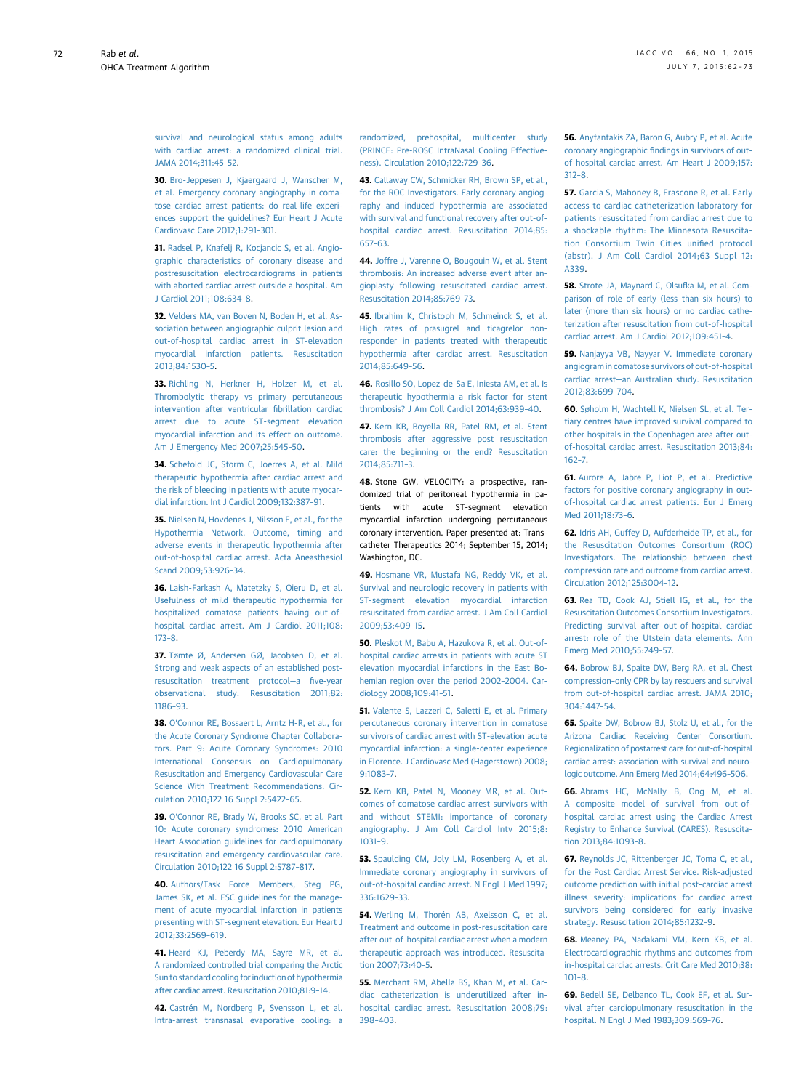<span id="page-10-0"></span>[survival and neurological status among adults](http://refhub.elsevier.com/S0735-1097(15)02276-7/sref29) [with cardiac arrest: a randomized clinical trial.](http://refhub.elsevier.com/S0735-1097(15)02276-7/sref29) [JAMA 2014;311:45](http://refhub.elsevier.com/S0735-1097(15)02276-7/sref29)–52.

30. [Bro-Jeppesen J, Kjaergaard J, Wanscher M,](http://refhub.elsevier.com/S0735-1097(15)02276-7/sref30) [et al. Emergency coronary angiography in coma](http://refhub.elsevier.com/S0735-1097(15)02276-7/sref30)[tose cardiac arrest patients: do real-life experi](http://refhub.elsevier.com/S0735-1097(15)02276-7/sref30)[ences support the guidelines? Eur Heart J Acute](http://refhub.elsevier.com/S0735-1097(15)02276-7/sref30) [Cardiovasc Care 2012;1:291](http://refhub.elsevier.com/S0735-1097(15)02276-7/sref30)–301.

31. [Radsel P, Knafelj R, Kocjancic S, et al. Angio](http://refhub.elsevier.com/S0735-1097(15)02276-7/sref31)[graphic characteristics of coronary disease and](http://refhub.elsevier.com/S0735-1097(15)02276-7/sref31) [postresuscitation electrocardiograms in patients](http://refhub.elsevier.com/S0735-1097(15)02276-7/sref31) [with aborted cardiac arrest outside a hospital. Am](http://refhub.elsevier.com/S0735-1097(15)02276-7/sref31) [J Cardiol 2011;108:634](http://refhub.elsevier.com/S0735-1097(15)02276-7/sref31)–8.

32. [Velders MA, van Boven N, Boden H, et al. As](http://refhub.elsevier.com/S0735-1097(15)02276-7/sref32)[sociation between angiographic culprit lesion and](http://refhub.elsevier.com/S0735-1097(15)02276-7/sref32) [out-of-hospital cardiac arrest in ST-elevation](http://refhub.elsevier.com/S0735-1097(15)02276-7/sref32) [myocardial infarction patients. Resuscitation](http://refhub.elsevier.com/S0735-1097(15)02276-7/sref32) [2013;84:1530](http://refhub.elsevier.com/S0735-1097(15)02276-7/sref32)–5.

33. [Richling N, Herkner H, Holzer M, et al.](http://refhub.elsevier.com/S0735-1097(15)02276-7/sref33) [Thrombolytic therapy vs primary percutaneous](http://refhub.elsevier.com/S0735-1097(15)02276-7/sref33) [intervention after ventricular](http://refhub.elsevier.com/S0735-1097(15)02276-7/sref33) fibrillation cardiac [arrest due to acute ST-segment elevation](http://refhub.elsevier.com/S0735-1097(15)02276-7/sref33) [myocardial infarction and its effect on outcome.](http://refhub.elsevier.com/S0735-1097(15)02276-7/sref33) [Am J Emergency Med 2007;25:545](http://refhub.elsevier.com/S0735-1097(15)02276-7/sref33)–50.

34. [Schefold JC, Storm C, Joerres A, et al. Mild](http://refhub.elsevier.com/S0735-1097(15)02276-7/sref34) [therapeutic hypothermia after cardiac arrest and](http://refhub.elsevier.com/S0735-1097(15)02276-7/sref34) [the risk of bleeding in patients with acute myocar](http://refhub.elsevier.com/S0735-1097(15)02276-7/sref34)[dial infarction. Int J Cardiol 2009;132:387](http://refhub.elsevier.com/S0735-1097(15)02276-7/sref34)–91.

35. [Nielsen N, Hovdenes J, Nilsson F, et al., for the](http://refhub.elsevier.com/S0735-1097(15)02276-7/sref35) [Hypothermia Network. Outcome, timing and](http://refhub.elsevier.com/S0735-1097(15)02276-7/sref35) [adverse events in therapeutic hypothermia after](http://refhub.elsevier.com/S0735-1097(15)02276-7/sref35) [out-of-hospital cardiac arrest. Acta Aneasthesiol](http://refhub.elsevier.com/S0735-1097(15)02276-7/sref35) [Scand 2009;53:926](http://refhub.elsevier.com/S0735-1097(15)02276-7/sref35)–34.

36. [Laish-Farkash A, Matetzky S, Oieru D, et al.](http://refhub.elsevier.com/S0735-1097(15)02276-7/sref36) [Usefulness of mild therapeutic hypothermia for](http://refhub.elsevier.com/S0735-1097(15)02276-7/sref36) [hospitalized comatose patients having out-of](http://refhub.elsevier.com/S0735-1097(15)02276-7/sref36)[hospital cardiac arrest. Am J Cardiol 2011;108:](http://refhub.elsevier.com/S0735-1097(15)02276-7/sref36) [173](http://refhub.elsevier.com/S0735-1097(15)02276-7/sref36)–8.

37. [Tømte Ø, Andersen GØ, Jacobsen D, et al.](http://refhub.elsevier.com/S0735-1097(15)02276-7/sref37) [Strong and weak aspects of an established post](http://refhub.elsevier.com/S0735-1097(15)02276-7/sref37)[resuscitation treatment protocol](http://refhub.elsevier.com/S0735-1097(15)02276-7/sref37)—a five-year [observational study. Resuscitation 2011;82:](http://refhub.elsevier.com/S0735-1097(15)02276-7/sref37) [1186](http://refhub.elsevier.com/S0735-1097(15)02276-7/sref37)–93.

38. O'[Connor RE, Bossaert L, Arntz H-R, et al., for](http://refhub.elsevier.com/S0735-1097(15)02276-7/sref38) [the Acute Coronary Syndrome Chapter Collabora](http://refhub.elsevier.com/S0735-1097(15)02276-7/sref38)[tors. Part 9: Acute Coronary Syndromes: 2010](http://refhub.elsevier.com/S0735-1097(15)02276-7/sref38) [International Consensus on Cardiopulmonary](http://refhub.elsevier.com/S0735-1097(15)02276-7/sref38) [Resuscitation and Emergency Cardiovascular Care](http://refhub.elsevier.com/S0735-1097(15)02276-7/sref38) [Science With Treatment Recommendations. Cir](http://refhub.elsevier.com/S0735-1097(15)02276-7/sref38)[culation 2010;122 16 Suppl 2:S422](http://refhub.elsevier.com/S0735-1097(15)02276-7/sref38)–65.

39. O'[Connor RE, Brady W, Brooks SC, et al. Part](http://refhub.elsevier.com/S0735-1097(15)02276-7/sref39) [10: Acute coronary syndromes: 2010 American](http://refhub.elsevier.com/S0735-1097(15)02276-7/sref39) [Heart Association guidelines for cardiopulmonary](http://refhub.elsevier.com/S0735-1097(15)02276-7/sref39) [resuscitation and emergency cardiovascular care.](http://refhub.elsevier.com/S0735-1097(15)02276-7/sref39) [Circulation 2010;122 16 Suppl 2:S787](http://refhub.elsevier.com/S0735-1097(15)02276-7/sref39)–817.

40. [Authors/Task Force Members, Steg PG,](http://refhub.elsevier.com/S0735-1097(15)02276-7/sref40) [James SK, et al. ESC guidelines for the manage](http://refhub.elsevier.com/S0735-1097(15)02276-7/sref40)[ment of acute myocardial infarction in patients](http://refhub.elsevier.com/S0735-1097(15)02276-7/sref40) [presenting with ST-segment elevation. Eur Heart J](http://refhub.elsevier.com/S0735-1097(15)02276-7/sref40) [2012;33:2569](http://refhub.elsevier.com/S0735-1097(15)02276-7/sref40)–619.

41. [Heard KJ, Peberdy MA, Sayre MR, et al.](http://refhub.elsevier.com/S0735-1097(15)02276-7/sref41) [A randomized controlled trial comparing the Arctic](http://refhub.elsevier.com/S0735-1097(15)02276-7/sref41) [Sun to standard cooling for induction of hypothermia](http://refhub.elsevier.com/S0735-1097(15)02276-7/sref41) [after cardiac arrest. Resuscitation 2010;81:9](http://refhub.elsevier.com/S0735-1097(15)02276-7/sref41)–14.

42. Castrén M. Nordberg P. Svensson L. et al. [Intra-arrest transnasal evaporative cooling: a](http://refhub.elsevier.com/S0735-1097(15)02276-7/sref42)

[randomized, prehospital, multicenter study](http://refhub.elsevier.com/S0735-1097(15)02276-7/sref42) [\(PRINCE: Pre-ROSC IntraNasal Cooling Effective](http://refhub.elsevier.com/S0735-1097(15)02276-7/sref42)[ness\). Circulation 2010;122:729](http://refhub.elsevier.com/S0735-1097(15)02276-7/sref42)–36.

43. [Callaway CW, Schmicker RH, Brown SP, et al.,](http://refhub.elsevier.com/S0735-1097(15)02276-7/sref43) [for the ROC Investigators. Early coronary angiog](http://refhub.elsevier.com/S0735-1097(15)02276-7/sref43)[raphy and induced hypothermia are associated](http://refhub.elsevier.com/S0735-1097(15)02276-7/sref43) [with survival and functional recovery after out-of](http://refhub.elsevier.com/S0735-1097(15)02276-7/sref43)[hospital cardiac arrest. Resuscitation 2014;85:](http://refhub.elsevier.com/S0735-1097(15)02276-7/sref43) [657](http://refhub.elsevier.com/S0735-1097(15)02276-7/sref43)–63.

44. [Joffre J, Varenne O, Bougouin W, et al. Stent](http://refhub.elsevier.com/S0735-1097(15)02276-7/sref44) [thrombosis: An increased adverse event after an](http://refhub.elsevier.com/S0735-1097(15)02276-7/sref44)[gioplasty following resuscitated cardiac arrest.](http://refhub.elsevier.com/S0735-1097(15)02276-7/sref44) [Resuscitation 2014;85:769](http://refhub.elsevier.com/S0735-1097(15)02276-7/sref44)–73.

45. [Ibrahim K, Christoph M, Schmeinck S, et al.](http://refhub.elsevier.com/S0735-1097(15)02276-7/sref45) [High rates of prasugrel and ticagrelor non](http://refhub.elsevier.com/S0735-1097(15)02276-7/sref45)[responder in patients treated with therapeutic](http://refhub.elsevier.com/S0735-1097(15)02276-7/sref45) [hypothermia after cardiac arrest. Resuscitation](http://refhub.elsevier.com/S0735-1097(15)02276-7/sref45) [2014;85:649](http://refhub.elsevier.com/S0735-1097(15)02276-7/sref45)–56.

46. [Rosillo SO, Lopez-de-Sa E, Iniesta AM, et al. Is](http://refhub.elsevier.com/S0735-1097(15)02276-7/sref46) [therapeutic hypothermia a risk factor for stent](http://refhub.elsevier.com/S0735-1097(15)02276-7/sref46) [thrombosis? J Am Coll Cardiol 2014;63:939](http://refhub.elsevier.com/S0735-1097(15)02276-7/sref46)–40.

47. [Kern KB, Boyella RR, Patel RM, et al. Stent](http://refhub.elsevier.com/S0735-1097(15)02276-7/sref47) [thrombosis after aggressive post resuscitation](http://refhub.elsevier.com/S0735-1097(15)02276-7/sref47) [care: the beginning or the end? Resuscitation](http://refhub.elsevier.com/S0735-1097(15)02276-7/sref47) [2014;85:711](http://refhub.elsevier.com/S0735-1097(15)02276-7/sref47)–3.

48. Stone GW. VELOCITY: a prospective, randomized trial of peritoneal hypothermia in patients with acute ST-segment elevation myocardial infarction undergoing percutaneous coronary intervention. Paper presented at: Transcatheter Therapeutics 2014; September 15, 2014; Washington, DC.

49. [Hosmane VR, Mustafa NG, Reddy VK, et al.](http://refhub.elsevier.com/S0735-1097(15)02276-7/sref48) [Survival and neurologic recovery in patients with](http://refhub.elsevier.com/S0735-1097(15)02276-7/sref48) [ST-segment elevation myocardial infarction](http://refhub.elsevier.com/S0735-1097(15)02276-7/sref48) [resuscitated from cardiac arrest. J Am Coll Cardiol](http://refhub.elsevier.com/S0735-1097(15)02276-7/sref48) [2009;53:409](http://refhub.elsevier.com/S0735-1097(15)02276-7/sref48)–15.

50. [Pleskot M, Babu A, Hazukova R, et al. Out-of](http://refhub.elsevier.com/S0735-1097(15)02276-7/sref49)[hospital cardiac arrests in patients with acute ST](http://refhub.elsevier.com/S0735-1097(15)02276-7/sref49) [elevation myocardial infarctions in the East Bo](http://refhub.elsevier.com/S0735-1097(15)02276-7/sref49)[hemian region over the period 2002](http://refhub.elsevier.com/S0735-1097(15)02276-7/sref49)–2004. Car[diology 2008;109:41](http://refhub.elsevier.com/S0735-1097(15)02276-7/sref49)–51.

51. [Valente S, Lazzeri C, Saletti E, et al. Primary](http://refhub.elsevier.com/S0735-1097(15)02276-7/sref50) [percutaneous coronary intervention in comatose](http://refhub.elsevier.com/S0735-1097(15)02276-7/sref50) [survivors of cardiac arrest with ST-elevation acute](http://refhub.elsevier.com/S0735-1097(15)02276-7/sref50) [myocardial infarction: a single-center experience](http://refhub.elsevier.com/S0735-1097(15)02276-7/sref50) [in Florence. J Cardiovasc Med \(Hagerstown\) 2008;](http://refhub.elsevier.com/S0735-1097(15)02276-7/sref50) [9:1083](http://refhub.elsevier.com/S0735-1097(15)02276-7/sref50)–7.

52. [Kern KB, Patel N, Mooney MR, et al. Out](http://refhub.elsevier.com/S0735-1097(15)02276-7/sref51)[comes of comatose cardiac arrest survivors with](http://refhub.elsevier.com/S0735-1097(15)02276-7/sref51) [and without STEMI: importance of coronary](http://refhub.elsevier.com/S0735-1097(15)02276-7/sref51) [angiography. J Am Coll Cardiol Intv 2015;8:](http://refhub.elsevier.com/S0735-1097(15)02276-7/sref51) [1031](http://refhub.elsevier.com/S0735-1097(15)02276-7/sref51)–9.

53. [Spaulding CM, Joly LM, Rosenberg A, et al.](http://refhub.elsevier.com/S0735-1097(15)02276-7/sref52) [Immediate coronary angiography in survivors of](http://refhub.elsevier.com/S0735-1097(15)02276-7/sref52) [out-of-hospital cardiac arrest. N Engl J Med 1997;](http://refhub.elsevier.com/S0735-1097(15)02276-7/sref52) [336:1629](http://refhub.elsevier.com/S0735-1097(15)02276-7/sref52)–33.

54. [Werling M, Thorén AB, Axelsson C, et al.](http://refhub.elsevier.com/S0735-1097(15)02276-7/sref53) [Treatment and outcome in post-resuscitation care](http://refhub.elsevier.com/S0735-1097(15)02276-7/sref53) [after out-of-hospital cardiac arrest when a modern](http://refhub.elsevier.com/S0735-1097(15)02276-7/sref53) [therapeutic approach was introduced. Resuscita](http://refhub.elsevier.com/S0735-1097(15)02276-7/sref53)[tion 2007;73:40](http://refhub.elsevier.com/S0735-1097(15)02276-7/sref53)–5.

55. [Merchant RM, Abella BS, Khan M, et al. Car](http://refhub.elsevier.com/S0735-1097(15)02276-7/sref54)[diac catheterization is underutilized after in](http://refhub.elsevier.com/S0735-1097(15)02276-7/sref54)[hospital cardiac arrest. Resuscitation 2008;79:](http://refhub.elsevier.com/S0735-1097(15)02276-7/sref54) 398–[403.](http://refhub.elsevier.com/S0735-1097(15)02276-7/sref54)

56. [Anyfantakis ZA, Baron G, Aubry P, et al. Acute](http://refhub.elsevier.com/S0735-1097(15)02276-7/sref55) coronary angiographic fi[ndings in survivors of out](http://refhub.elsevier.com/S0735-1097(15)02276-7/sref55)[of-hospital cardiac arrest. Am Heart J 2009;157:](http://refhub.elsevier.com/S0735-1097(15)02276-7/sref55) [312](http://refhub.elsevier.com/S0735-1097(15)02276-7/sref55)–8.

57. [Garcia S, Mahoney B, Frascone R, et al. Early](http://refhub.elsevier.com/S0735-1097(15)02276-7/sref56) [access to cardiac catheterization laboratory for](http://refhub.elsevier.com/S0735-1097(15)02276-7/sref56) [patients resuscitated from cardiac arrest due to](http://refhub.elsevier.com/S0735-1097(15)02276-7/sref56) [a shockable rhythm: The Minnesota Resuscita](http://refhub.elsevier.com/S0735-1097(15)02276-7/sref56)[tion Consortium Twin Cities uni](http://refhub.elsevier.com/S0735-1097(15)02276-7/sref56)fied protocol [\(abstr\). J Am Coll Cardiol 2014;63 Suppl 12:](http://refhub.elsevier.com/S0735-1097(15)02276-7/sref56) [A339](http://refhub.elsevier.com/S0735-1097(15)02276-7/sref56).

58. [Strote JA, Maynard C, Olsufka M, et al. Com](http://refhub.elsevier.com/S0735-1097(15)02276-7/sref57)[parison of role of early \(less than six hours\) to](http://refhub.elsevier.com/S0735-1097(15)02276-7/sref57) [later \(more than six hours\) or no cardiac cathe](http://refhub.elsevier.com/S0735-1097(15)02276-7/sref57)[terization after resuscitation from out-of-hospital](http://refhub.elsevier.com/S0735-1097(15)02276-7/sref57) [cardiac arrest. Am J Cardiol 2012;109:451](http://refhub.elsevier.com/S0735-1097(15)02276-7/sref57)–4.

59. [Nanjayya VB, Nayyar V. Immediate coronary](http://refhub.elsevier.com/S0735-1097(15)02276-7/sref58) [angiogram in comatose survivors of out-of-hospital](http://refhub.elsevier.com/S0735-1097(15)02276-7/sref58) cardiac arrest—[an Australian study. Resuscitation](http://refhub.elsevier.com/S0735-1097(15)02276-7/sref58) [2012;83:699](http://refhub.elsevier.com/S0735-1097(15)02276-7/sref58)–704.

60. [Søholm H, Wachtell K, Nielsen SL, et al. Ter](http://refhub.elsevier.com/S0735-1097(15)02276-7/sref59)[tiary centres have improved survival compared to](http://refhub.elsevier.com/S0735-1097(15)02276-7/sref59) [other hospitals in the Copenhagen area after out](http://refhub.elsevier.com/S0735-1097(15)02276-7/sref59)[of-hospital cardiac arrest. Resuscitation 2013;84:](http://refhub.elsevier.com/S0735-1097(15)02276-7/sref59) [162](http://refhub.elsevier.com/S0735-1097(15)02276-7/sref59)–7.

61. [Aurore A, Jabre P, Liot P, et al. Predictive](http://refhub.elsevier.com/S0735-1097(15)02276-7/sref60) [factors for positive coronary angiography in out](http://refhub.elsevier.com/S0735-1097(15)02276-7/sref60)[of-hospital cardiac arrest patients. Eur J Emerg](http://refhub.elsevier.com/S0735-1097(15)02276-7/sref60) [Med 2011;18:73](http://refhub.elsevier.com/S0735-1097(15)02276-7/sref60)–6.

62. [Idris AH, Guffey D, Aufderheide TP, et al., for](http://refhub.elsevier.com/S0735-1097(15)02276-7/sref61) [the Resuscitation Outcomes Consortium \(ROC\)](http://refhub.elsevier.com/S0735-1097(15)02276-7/sref61) [Investigators. The relationship between chest](http://refhub.elsevier.com/S0735-1097(15)02276-7/sref61) [compression rate and outcome from cardiac arrest.](http://refhub.elsevier.com/S0735-1097(15)02276-7/sref61) [Circulation 2012;125:3004](http://refhub.elsevier.com/S0735-1097(15)02276-7/sref61)–12.

63. [Rea TD, Cook AJ, Stiell IG, et al., for the](http://refhub.elsevier.com/S0735-1097(15)02276-7/sref62) [Resuscitation Outcomes Consortium Investigators.](http://refhub.elsevier.com/S0735-1097(15)02276-7/sref62) [Predicting survival after out-of-hospital cardiac](http://refhub.elsevier.com/S0735-1097(15)02276-7/sref62) [arrest: role of the Utstein data elements. Ann](http://refhub.elsevier.com/S0735-1097(15)02276-7/sref62) [Emerg Med 2010;55:249](http://refhub.elsevier.com/S0735-1097(15)02276-7/sref62)–57.

64. [Bobrow BJ, Spaite DW, Berg RA, et al. Chest](http://refhub.elsevier.com/S0735-1097(15)02276-7/sref63) compression–[only CPR by lay rescuers and survival](http://refhub.elsevier.com/S0735-1097(15)02276-7/sref63) [from out-of-hospital cardiac arrest. JAMA 2010;](http://refhub.elsevier.com/S0735-1097(15)02276-7/sref63) [304:1447](http://refhub.elsevier.com/S0735-1097(15)02276-7/sref63)–54.

65. [Spaite DW, Bobrow BJ, Stolz U, et al., for the](http://refhub.elsevier.com/S0735-1097(15)02276-7/sref64) [Arizona Cardiac Receiving Center Consortium.](http://refhub.elsevier.com/S0735-1097(15)02276-7/sref64) [Regionalization of postarrest care for out-of-hospital](http://refhub.elsevier.com/S0735-1097(15)02276-7/sref64) [cardiac arrest: association with survival and neuro](http://refhub.elsevier.com/S0735-1097(15)02276-7/sref64)[logic outcome. Ann Emerg Med 2014;64:496](http://refhub.elsevier.com/S0735-1097(15)02276-7/sref64)–506.

66. [Abrams HC, McNally B, Ong M, et al.](http://refhub.elsevier.com/S0735-1097(15)02276-7/sref65) [A composite model of survival from out-of](http://refhub.elsevier.com/S0735-1097(15)02276-7/sref65)[hospital cardiac arrest using the Cardiac Arrest](http://refhub.elsevier.com/S0735-1097(15)02276-7/sref65) [Registry to Enhance Survival \(CARES\). Resuscita](http://refhub.elsevier.com/S0735-1097(15)02276-7/sref65)[tion 2013;84:1093](http://refhub.elsevier.com/S0735-1097(15)02276-7/sref65)–8.

67. [Reynolds JC, Rittenberger JC, Toma C, et al.,](http://refhub.elsevier.com/S0735-1097(15)02276-7/sref66) [for the Post Cardiac Arrest Service. Risk-adjusted](http://refhub.elsevier.com/S0735-1097(15)02276-7/sref66) [outcome prediction with initial post-cardiac arrest](http://refhub.elsevier.com/S0735-1097(15)02276-7/sref66) [illness severity: implications for cardiac arrest](http://refhub.elsevier.com/S0735-1097(15)02276-7/sref66) [survivors being considered for early invasive](http://refhub.elsevier.com/S0735-1097(15)02276-7/sref66) [strategy. Resuscitation 2014;85:1232](http://refhub.elsevier.com/S0735-1097(15)02276-7/sref66)–9.

68. [Meaney PA, Nadakami VM, Kern KB, et al.](http://refhub.elsevier.com/S0735-1097(15)02276-7/sref67) [Electrocardiographic rhythms and outcomes from](http://refhub.elsevier.com/S0735-1097(15)02276-7/sref67) [in-hospital cardiac arrests. Crit Care Med 2010;38:](http://refhub.elsevier.com/S0735-1097(15)02276-7/sref67) [101](http://refhub.elsevier.com/S0735-1097(15)02276-7/sref67)–8.

69. [Bedell SE, Delbanco TL, Cook EF, et al. Sur](http://refhub.elsevier.com/S0735-1097(15)02276-7/sref68)[vival after cardiopulmonary resuscitation in the](http://refhub.elsevier.com/S0735-1097(15)02276-7/sref68) [hospital. N Engl J Med 1983;309:569](http://refhub.elsevier.com/S0735-1097(15)02276-7/sref68)–76.